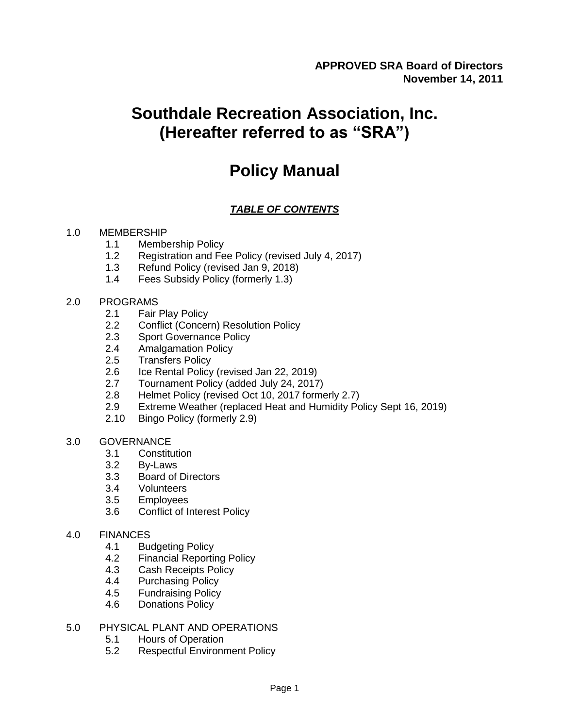# **Southdale Recreation Association, Inc. (Hereafter referred to as "SRA")**

# **Policy Manual**

### *TABLE OF CONTENTS*

### 1.0 MEMBERSHIP

- 1.1 Membership Policy
- 1.2 Registration and Fee Policy (revised July 4, 2017)
- 1.3 Refund Policy (revised Jan 9, 2018)
- 1.4 Fees Subsidy Policy (formerly 1.3)

### 2.0 PROGRAMS

- 2.1 Fair Play Policy
- 2.2 Conflict (Concern) Resolution Policy
- 2.3 Sport Governance Policy
- 2.4 Amalgamation Policy
- 2.5 Transfers Policy
- 2.6 Ice Rental Policy (revised Jan 22, 2019)
- 2.7 Tournament Policy (added July 24, 2017)
- 2.8 Helmet Policy (revised Oct 10, 2017 formerly 2.7)
- 2.9 Extreme Weather (replaced Heat and Humidity Policy Sept 16, 2019)
- 2.10 Bingo Policy (formerly 2.9)
- 3.0 GOVERNANCE
	- 3.1 Constitution
	- 3.2 By-Laws
	- 3.3 Board of Directors
	- 3.4 Volunteers<br>3.5 Employees
	- **Employees**
	- 3.6 Conflict of Interest Policy
- 4.0 FINANCES
	- 4.1 Budgeting Policy
	- 4.2 Financial Reporting Policy
	- 4.3 Cash Receipts Policy
	- 4.4 Purchasing Policy
	- 4.5 Fundraising Policy
	- 4.6 Donations Policy

### 5.0 PHYSICAL PLANT AND OPERATIONS

- 5.1 Hours of Operation
- 5.2 Respectful Environment Policy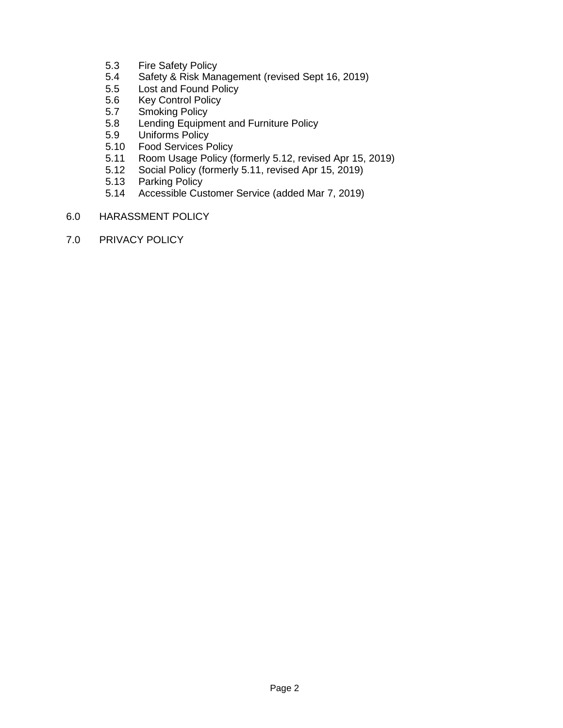- 5.3 Fire Safety Policy
- 5.4 Safety & Risk Management (revised Sept 16, 2019)
- 5.5 Lost and Found Policy
- 5.6 Key Control Policy
- 5.7 Smoking Policy
- 5.8 Lending Equipment and Furniture Policy
- 5.9 Uniforms Policy
- 5.10 Food Services Policy
- 5.11 Room Usage Policy (formerly 5.12, revised Apr 15, 2019)
- 5.12 Social Policy (formerly 5.11, revised Apr 15, 2019)
- 5.13 Parking Policy<br>5.14 Accessible Cus
- 5.14 Accessible Customer Service (added Mar 7, 2019)
- 6.0 HARASSMENT POLICY
- 7.0 PRIVACY POLICY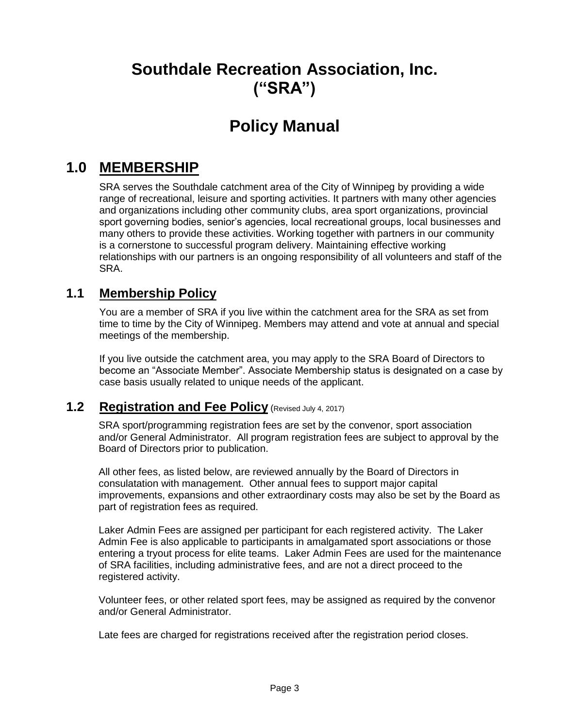# **Southdale Recreation Association, Inc. ("SRA")**

# **Policy Manual**

## **1.0 MEMBERSHIP**

SRA serves the Southdale catchment area of the City of Winnipeg by providing a wide range of recreational, leisure and sporting activities. It partners with many other agencies and organizations including other community clubs, area sport organizations, provincial sport governing bodies, senior's agencies, local recreational groups, local businesses and many others to provide these activities. Working together with partners in our community is a cornerstone to successful program delivery. Maintaining effective working relationships with our partners is an ongoing responsibility of all volunteers and staff of the SRA.

### **1.1 Membership Policy**

You are a member of SRA if you live within the catchment area for the SRA as set from time to time by the City of Winnipeg. Members may attend and vote at annual and special meetings of the membership.

If you live outside the catchment area, you may apply to the SRA Board of Directors to become an "Associate Member". Associate Membership status is designated on a case by case basis usually related to unique needs of the applicant.

### **1.2 Registration and Fee Policy** (Revised July 4, 2017)

SRA sport/programming registration fees are set by the convenor, sport association and/or General Administrator. All program registration fees are subject to approval by the Board of Directors prior to publication.

All other fees, as listed below, are reviewed annually by the Board of Directors in consulatation with management. Other annual fees to support major capital improvements, expansions and other extraordinary costs may also be set by the Board as part of registration fees as required.

Laker Admin Fees are assigned per participant for each registered activity. The Laker Admin Fee is also applicable to participants in amalgamated sport associations or those entering a tryout process for elite teams. Laker Admin Fees are used for the maintenance of SRA facilities, including administrative fees, and are not a direct proceed to the registered activity.

Volunteer fees, or other related sport fees, may be assigned as required by the convenor and/or General Administrator.

Late fees are charged for registrations received after the registration period closes.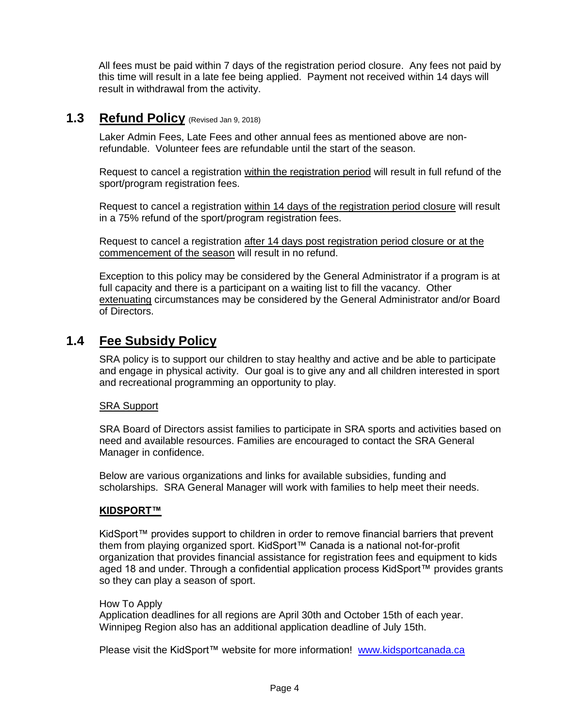All fees must be paid within 7 days of the registration period closure. Any fees not paid by this time will result in a late fee being applied. Payment not received within 14 days will result in withdrawal from the activity.

### **1.3 Refund Policy** (Revised Jan 9, 2018)

Laker Admin Fees, Late Fees and other annual fees as mentioned above are nonrefundable. Volunteer fees are refundable until the start of the season.

Request to cancel a registration within the registration period will result in full refund of the sport/program registration fees.

Request to cancel a registration within 14 days of the registration period closure will result in a 75% refund of the sport/program registration fees.

Request to cancel a registration after 14 days post registration period closure or at the commencement of the season will result in no refund.

Exception to this policy may be considered by the General Administrator if a program is at full capacity and there is a participant on a waiting list to fill the vacancy. Other extenuating circumstances may be considered by the General Administrator and/or Board of Directors.

### **1.4 Fee Subsidy Policy**

SRA policy is to support our children to stay healthy and active and be able to participate and engage in physical activity. Our goal is to give any and all children interested in sport and recreational programming an opportunity to play.

### SRA Support

SRA Board of Directors assist families to participate in SRA sports and activities based on need and available resources. Families are encouraged to contact the SRA General Manager in confidence.

Below are various organizations and links for available subsidies, funding and scholarships. SRA General Manager will work with families to help meet their needs.

### **KIDSPORT™**

KidSport™ provides support to children in order to remove financial barriers that prevent them from playing organized sport. KidSport™ Canada is a national not-for-profit organization that provides financial assistance for registration fees and equipment to kids aged 18 and under. Through a confidential application process KidSport™ provides grants so they can play a season of sport.

#### How To Apply

Application deadlines for all regions are April 30th and October 15th of each year. Winnipeg Region also has an additional application deadline of July 15th.

Please visit the KidSport™ website for more information! [www.kidsportcanada.ca](http://www.kidsportcanada.ca/)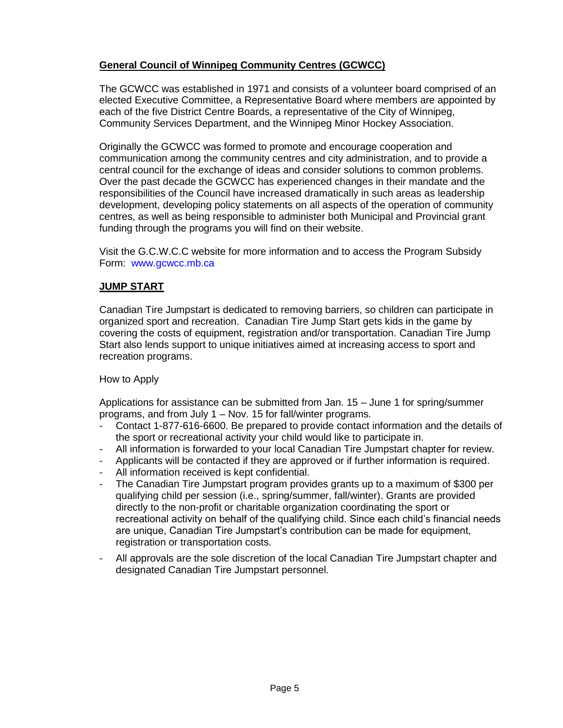### **General Council of Winnipeg Community Centres (GCWCC)**

The GCWCC was established in 1971 and consists of a volunteer board comprised of an elected Executive Committee, a Representative Board where members are appointed by each of the five District Centre Boards, a representative of the City of Winnipeg, Community Services Department, and the Winnipeg Minor Hockey Association.

Originally the GCWCC was formed to promote and encourage cooperation and communication among the community centres and city administration, and to provide a central council for the exchange of ideas and consider solutions to common problems. Over the past decade the GCWCC has experienced changes in their mandate and the responsibilities of the Council have increased dramatically in such areas as leadership development, developing policy statements on all aspects of the operation of community centres, as well as being responsible to administer both Municipal and Provincial grant funding through the programs you will find on their website.

Visit the G.C.W.C.C website for more information and to access the Program Subsidy Form: www.gcwcc.mb.ca

### **JUMP START**

Canadian Tire Jumpstart is dedicated to removing barriers, so children can participate in organized sport and recreation. Canadian Tire Jump Start gets kids in the game by covering the costs of equipment, registration and/or transportation. Canadian Tire Jump Start also lends support to unique initiatives aimed at increasing access to sport and recreation programs.

### How to Apply

Applications for assistance can be submitted from Jan. 15 – June 1 for spring/summer programs, and from July 1 – Nov. 15 for fall/winter programs.

- Contact 1-877-616-6600. Be prepared to provide contact information and the details of the sport or recreational activity your child would like to participate in.
- All information is forwarded to your local Canadian Tire Jumpstart chapter for review.
- Applicants will be contacted if they are approved or if further information is required.
- All information received is kept confidential.
- The Canadian Tire Jumpstart program provides grants up to a maximum of \$300 per qualifying child per session (i.e., spring/summer, fall/winter). Grants are provided directly to the non-profit or charitable organization coordinating the sport or recreational activity on behalf of the qualifying child. Since each child's financial needs are unique, Canadian Tire Jumpstart's contribution can be made for equipment, registration or transportation costs.
- All approvals are the sole discretion of the local Canadian Tire Jumpstart chapter and designated Canadian Tire Jumpstart personnel.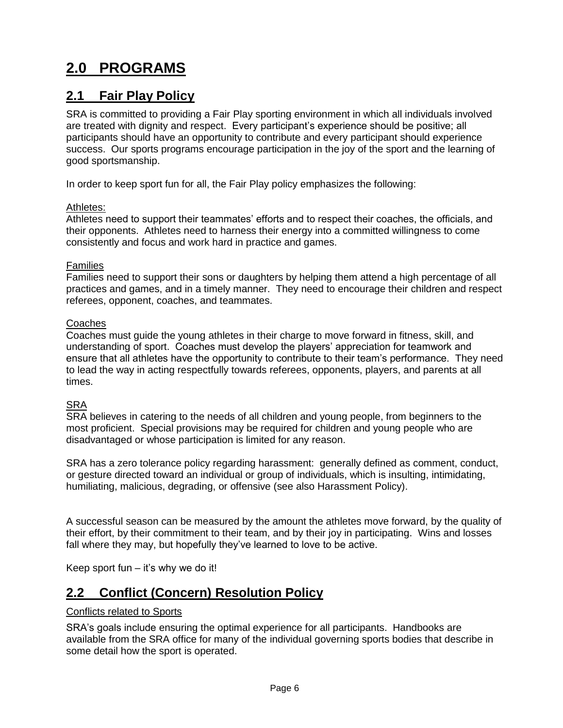# **2.0 PROGRAMS**

### **2.1 Fair Play Policy**

SRA is committed to providing a Fair Play sporting environment in which all individuals involved are treated with dignity and respect. Every participant's experience should be positive; all participants should have an opportunity to contribute and every participant should experience success. Our sports programs encourage participation in the joy of the sport and the learning of good sportsmanship.

In order to keep sport fun for all, the Fair Play policy emphasizes the following:

#### Athletes:

Athletes need to support their teammates' efforts and to respect their coaches, the officials, and their opponents. Athletes need to harness their energy into a committed willingness to come consistently and focus and work hard in practice and games.

#### Families

Families need to support their sons or daughters by helping them attend a high percentage of all practices and games, and in a timely manner. They need to encourage their children and respect referees, opponent, coaches, and teammates.

#### **Coaches**

Coaches must guide the young athletes in their charge to move forward in fitness, skill, and understanding of sport. Coaches must develop the players' appreciation for teamwork and ensure that all athletes have the opportunity to contribute to their team's performance. They need to lead the way in acting respectfully towards referees, opponents, players, and parents at all times.

### **SRA**

SRA believes in catering to the needs of all children and young people, from beginners to the most proficient. Special provisions may be required for children and young people who are disadvantaged or whose participation is limited for any reason.

SRA has a zero tolerance policy regarding harassment: generally defined as comment, conduct, or gesture directed toward an individual or group of individuals, which is insulting, intimidating, humiliating, malicious, degrading, or offensive (see also Harassment Policy).

A successful season can be measured by the amount the athletes move forward, by the quality of their effort, by their commitment to their team, and by their joy in participating. Wins and losses fall where they may, but hopefully they've learned to love to be active.

Keep sport fun  $-$  it's why we do it!

### **2.2 Conflict (Concern) Resolution Policy**

### Conflicts related to Sports

SRA's goals include ensuring the optimal experience for all participants. Handbooks are available from the SRA office for many of the individual governing sports bodies that describe in some detail how the sport is operated.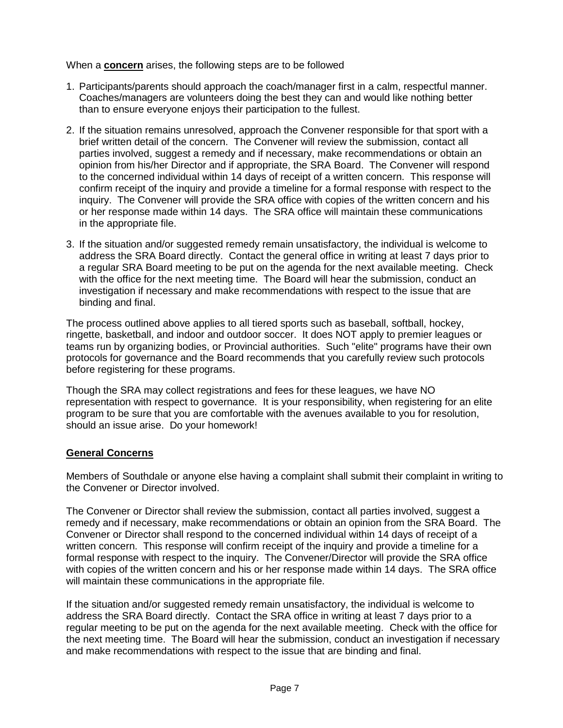When a **concern** arises, the following steps are to be followed

- 1. Participants/parents should approach the coach/manager first in a calm, respectful manner. Coaches/managers are volunteers doing the best they can and would like nothing better than to ensure everyone enjoys their participation to the fullest.
- 2. If the situation remains unresolved, approach the Convener responsible for that sport with a brief written detail of the concern. The Convener will review the submission, contact all parties involved, suggest a remedy and if necessary, make recommendations or obtain an opinion from his/her Director and if appropriate, the SRA Board. The Convener will respond to the concerned individual within 14 days of receipt of a written concern. This response will confirm receipt of the inquiry and provide a timeline for a formal response with respect to the inquiry. The Convener will provide the SRA office with copies of the written concern and his or her response made within 14 days. The SRA office will maintain these communications in the appropriate file.
- 3. If the situation and/or suggested remedy remain unsatisfactory, the individual is welcome to address the SRA Board directly. Contact the general office in writing at least 7 days prior to a regular SRA Board meeting to be put on the agenda for the next available meeting. Check with the office for the next meeting time. The Board will hear the submission, conduct an investigation if necessary and make recommendations with respect to the issue that are binding and final.

The process outlined above applies to all tiered sports such as baseball, softball, hockey, ringette, basketball, and indoor and outdoor soccer. It does NOT apply to premier leagues or teams run by organizing bodies, or Provincial authorities. Such "elite" programs have their own protocols for governance and the Board recommends that you carefully review such protocols before registering for these programs.

Though the SRA may collect registrations and fees for these leagues, we have NO representation with respect to governance. It is your responsibility, when registering for an elite program to be sure that you are comfortable with the avenues available to you for resolution, should an issue arise. Do your homework!

### **General Concerns**

Members of Southdale or anyone else having a complaint shall submit their complaint in writing to the Convener or Director involved.

The Convener or Director shall review the submission, contact all parties involved, suggest a remedy and if necessary, make recommendations or obtain an opinion from the SRA Board. The Convener or Director shall respond to the concerned individual within 14 days of receipt of a written concern. This response will confirm receipt of the inquiry and provide a timeline for a formal response with respect to the inquiry. The Convener/Director will provide the SRA office with copies of the written concern and his or her response made within 14 days. The SRA office will maintain these communications in the appropriate file.

If the situation and/or suggested remedy remain unsatisfactory, the individual is welcome to address the SRA Board directly. Contact the SRA office in writing at least 7 days prior to a regular meeting to be put on the agenda for the next available meeting. Check with the office for the next meeting time. The Board will hear the submission, conduct an investigation if necessary and make recommendations with respect to the issue that are binding and final.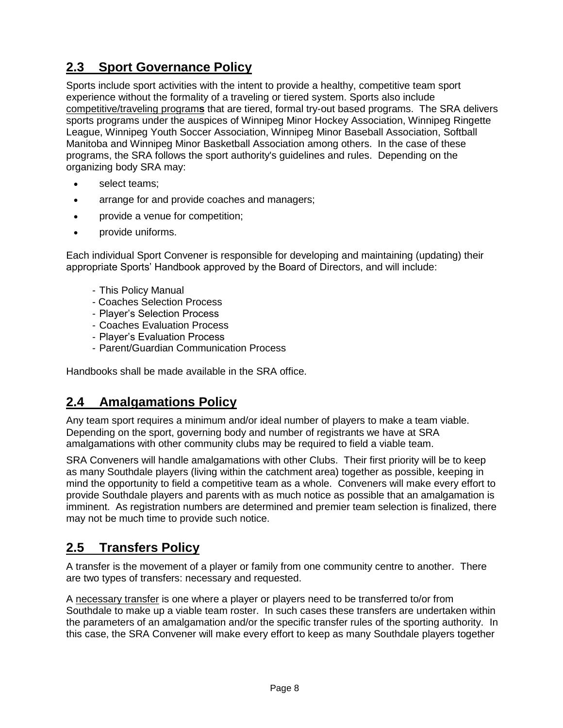## **2.3 Sport Governance Policy**

Sports include sport activities with the intent to provide a healthy, competitive team sport experience without the formality of a traveling or tiered system. Sports also include competitive/traveling program**s** that are tiered, formal try-out based programs. The SRA delivers sports programs under the auspices of Winnipeg Minor Hockey Association, Winnipeg Ringette League, Winnipeg Youth Soccer Association, Winnipeg Minor Baseball Association, Softball Manitoba and Winnipeg Minor Basketball Association among others. In the case of these programs, the SRA follows the sport authority's guidelines and rules. Depending on the organizing body SRA may:

- select teams;
- arrange for and provide coaches and managers;
- provide a venue for competition;
- provide uniforms.

Each individual Sport Convener is responsible for developing and maintaining (updating) their appropriate Sports' Handbook approved by the Board of Directors, and will include:

- This Policy Manual
- Coaches Selection Process
- Player's Selection Process
- Coaches Evaluation Process
- Player's Evaluation Process
- Parent/Guardian Communication Process

Handbooks shall be made available in the SRA office.

### **2.4 Amalgamations Policy**

Any team sport requires a minimum and/or ideal number of players to make a team viable. Depending on the sport, governing body and number of registrants we have at SRA amalgamations with other community clubs may be required to field a viable team.

SRA Conveners will handle amalgamations with other Clubs. Their first priority will be to keep as many Southdale players (living within the catchment area) together as possible, keeping in mind the opportunity to field a competitive team as a whole. Conveners will make every effort to provide Southdale players and parents with as much notice as possible that an amalgamation is imminent. As registration numbers are determined and premier team selection is finalized, there may not be much time to provide such notice.

### **2.5 Transfers Policy**

A transfer is the movement of a player or family from one community centre to another. There are two types of transfers: necessary and requested.

A necessary transfer is one where a player or players need to be transferred to/or from Southdale to make up a viable team roster. In such cases these transfers are undertaken within the parameters of an amalgamation and/or the specific transfer rules of the sporting authority. In this case, the SRA Convener will make every effort to keep as many Southdale players together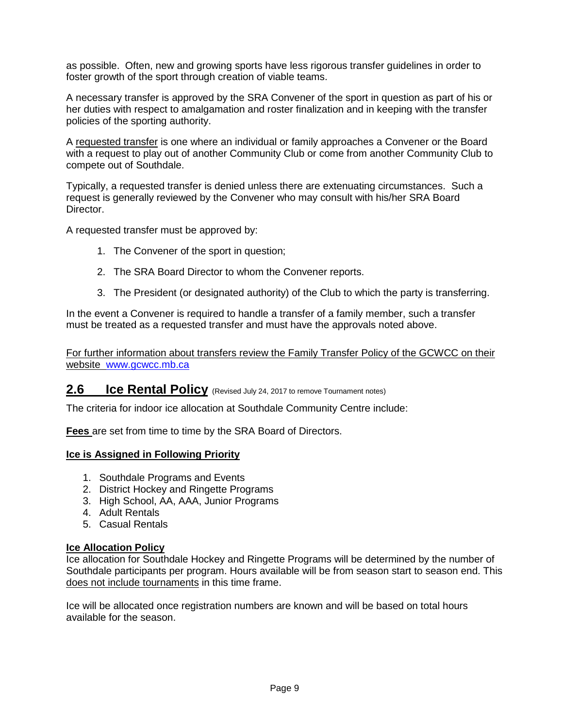as possible. Often, new and growing sports have less rigorous transfer guidelines in order to foster growth of the sport through creation of viable teams.

A necessary transfer is approved by the SRA Convener of the sport in question as part of his or her duties with respect to amalgamation and roster finalization and in keeping with the transfer policies of the sporting authority.

A requested transfer is one where an individual or family approaches a Convener or the Board with a request to play out of another Community Club or come from another Community Club to compete out of Southdale.

Typically, a requested transfer is denied unless there are extenuating circumstances. Such a request is generally reviewed by the Convener who may consult with his/her SRA Board Director.

A requested transfer must be approved by:

- 1. The Convener of the sport in question;
- 2. The SRA Board Director to whom the Convener reports.
- 3. The President (or designated authority) of the Club to which the party is transferring.

In the event a Convener is required to handle a transfer of a family member, such a transfer must be treated as a requested transfer and must have the approvals noted above.

For further information about transfers review the Family Transfer Policy of the GCWCC on their website [www.gcwcc.mb.ca](http://www.gcwcc.mb.ca/)

### **2.6 Ice Rental Policy** (Revised July 24, 2017 to remove Tournament notes)

The criteria for indoor ice allocation at Southdale Community Centre include:

**Fees** are set from time to time by the SRA Board of Directors.

### **Ice is Assigned in Following Priority**

- 1. Southdale Programs and Events
- 2. District Hockey and Ringette Programs
- 3. High School, AA, AAA, Junior Programs
- 4. Adult Rentals
- 5. Casual Rentals

#### **Ice Allocation Policy**

Ice allocation for Southdale Hockey and Ringette Programs will be determined by the number of Southdale participants per program. Hours available will be from season start to season end. This does not include tournaments in this time frame.

Ice will be allocated once registration numbers are known and will be based on total hours available for the season.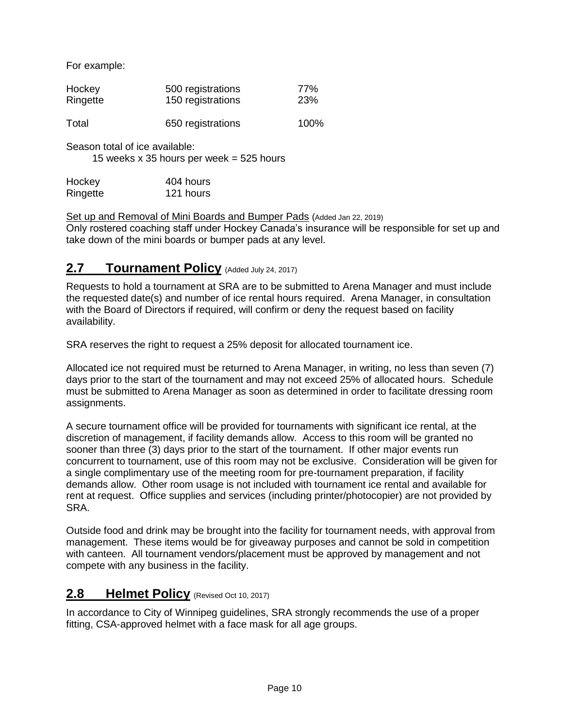For example:

| Hockey   | 500 registrations | 77%        |
|----------|-------------------|------------|
| Ringette | 150 registrations | <b>23%</b> |
| Total    | 650 registrations | 100%       |

Season total of ice available:

15 weeks  $x$  35 hours per week = 525 hours

Hockey 404 hours Ringette 121 hours

Set up and Removal of Mini Boards and Bumper Pads (Added Jan 22, 2019)

Only rostered coaching staff under Hockey Canada's insurance will be responsible for set up and take down of the mini boards or bumper pads at any level.

### **2.7 Tournament Policy** (Added July 24, 2017)

Requests to hold a tournament at SRA are to be submitted to Arena Manager and must include the requested date(s) and number of ice rental hours required. Arena Manager, in consultation with the Board of Directors if required, will confirm or deny the request based on facility availability.

SRA reserves the right to request a 25% deposit for allocated tournament ice.

Allocated ice not required must be returned to Arena Manager, in writing, no less than seven (7) days prior to the start of the tournament and may not exceed 25% of allocated hours. Schedule must be submitted to Arena Manager as soon as determined in order to facilitate dressing room assignments.

A secure tournament office will be provided for tournaments with significant ice rental, at the discretion of management, if facility demands allow. Access to this room will be granted no sooner than three (3) days prior to the start of the tournament. If other major events run concurrent to tournament, use of this room may not be exclusive. Consideration will be given for a single complimentary use of the meeting room for pre-tournament preparation, if facility demands allow. Other room usage is not included with tournament ice rental and available for rent at request. Office supplies and services (including printer/photocopier) are not provided by SRA.

Outside food and drink may be brought into the facility for tournament needs, with approval from management. These items would be for giveaway purposes and cannot be sold in competition with canteen. All tournament vendors/placement must be approved by management and not compete with any business in the facility.

### **2.8 Helmet Policy** (Revised Oct 10, 2017)

In accordance to City of Winnipeg guidelines, SRA strongly recommends the use of a proper fitting, CSA-approved helmet with a face mask for all age groups.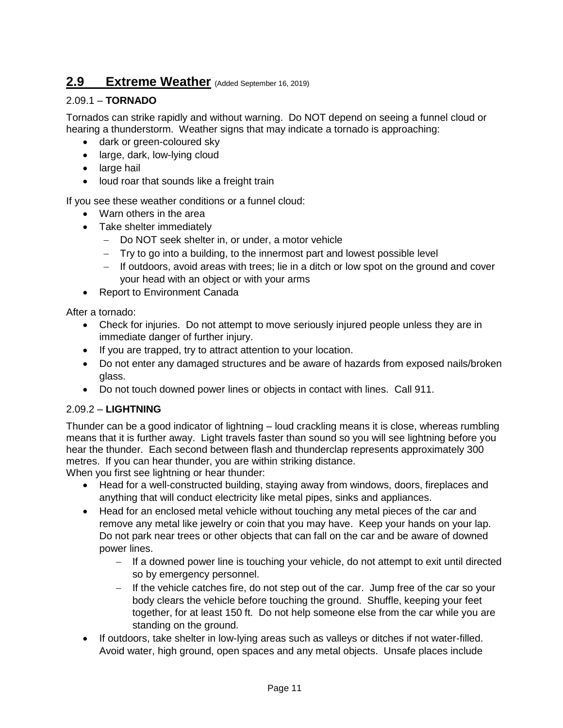### **2.9 Extreme Weather** (Added September 16, 2019)

### 2.09.1 – **TORNADO**

Tornados can strike rapidly and without warning. Do NOT depend on seeing a funnel cloud or hearing a thunderstorm. Weather signs that may indicate a tornado is approaching:

- dark or green-coloured sky
- large, dark, low-lying cloud
- large hail
- loud roar that sounds like a freight train

If you see these weather conditions or a funnel cloud:

- Warn others in the area
- Take shelter immediately
	- Do NOT seek shelter in, or under, a motor vehicle
	- Try to go into a building, to the innermost part and lowest possible level
	- $-$  If outdoors, avoid areas with trees; lie in a ditch or low spot on the ground and cover your head with an object or with your arms
- Report to Environment Canada

After a tornado:

- Check for injuries. Do not attempt to move seriously injured people unless they are in immediate danger of further injury.
- If you are trapped, try to attract attention to your location.
- Do not enter any damaged structures and be aware of hazards from exposed nails/broken glass.
- Do not touch downed power lines or objects in contact with lines. Call 911.

### 2.09.2 – **LIGHTNING**

Thunder can be a good indicator of lightning – loud crackling means it is close, whereas rumbling means that it is further away. Light travels faster than sound so you will see lightning before you hear the thunder. Each second between flash and thunderclap represents approximately 300 metres. If you can hear thunder, you are within striking distance.

When you first see lightning or hear thunder:

- Head for a well-constructed building, staying away from windows, doors, fireplaces and anything that will conduct electricity like metal pipes, sinks and appliances.
- Head for an enclosed metal vehicle without touching any metal pieces of the car and remove any metal like jewelry or coin that you may have. Keep your hands on your lap. Do not park near trees or other objects that can fall on the car and be aware of downed power lines.
	- $-$  If a downed power line is touching your vehicle, do not attempt to exit until directed so by emergency personnel.
	- $-$  If the vehicle catches fire, do not step out of the car. Jump free of the car so your body clears the vehicle before touching the ground. Shuffle, keeping your feet together, for at least 150 ft. Do not help someone else from the car while you are standing on the ground.
- If outdoors, take shelter in low-lying areas such as valleys or ditches if not water-filled. Avoid water, high ground, open spaces and any metal objects. Unsafe places include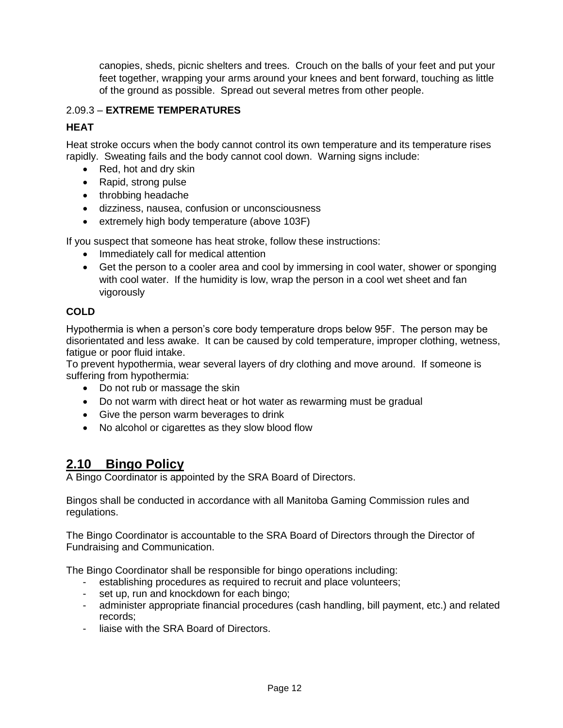canopies, sheds, picnic shelters and trees. Crouch on the balls of your feet and put your feet together, wrapping your arms around your knees and bent forward, touching as little of the ground as possible. Spread out several metres from other people.

### 2.09.3 – **EXTREME TEMPERATURES**

### **HEAT**

Heat stroke occurs when the body cannot control its own temperature and its temperature rises rapidly. Sweating fails and the body cannot cool down. Warning signs include:

- Red, hot and dry skin
- Rapid, strong pulse
- throbbing headache
- dizziness, nausea, confusion or unconsciousness
- extremely high body temperature (above 103F)

If you suspect that someone has heat stroke, follow these instructions:

- Immediately call for medical attention
- Get the person to a cooler area and cool by immersing in cool water, shower or sponging with cool water. If the humidity is low, wrap the person in a cool wet sheet and fan vigorously

### **COLD**

Hypothermia is when a person's core body temperature drops below 95F. The person may be disorientated and less awake. It can be caused by cold temperature, improper clothing, wetness, fatigue or poor fluid intake.

To prevent hypothermia, wear several layers of dry clothing and move around. If someone is suffering from hypothermia:

- Do not rub or massage the skin
- Do not warm with direct heat or hot water as rewarming must be gradual
- Give the person warm beverages to drink
- No alcohol or cigarettes as they slow blood flow

### **2.10 Bingo Policy**

A Bingo Coordinator is appointed by the SRA Board of Directors.

Bingos shall be conducted in accordance with all Manitoba Gaming Commission rules and regulations.

The Bingo Coordinator is accountable to the SRA Board of Directors through the Director of Fundraising and Communication.

The Bingo Coordinator shall be responsible for bingo operations including:

- establishing procedures as required to recruit and place volunteers;
- set up, run and knockdown for each bingo;
- administer appropriate financial procedures (cash handling, bill payment, etc.) and related records;
- liaise with the SRA Board of Directors.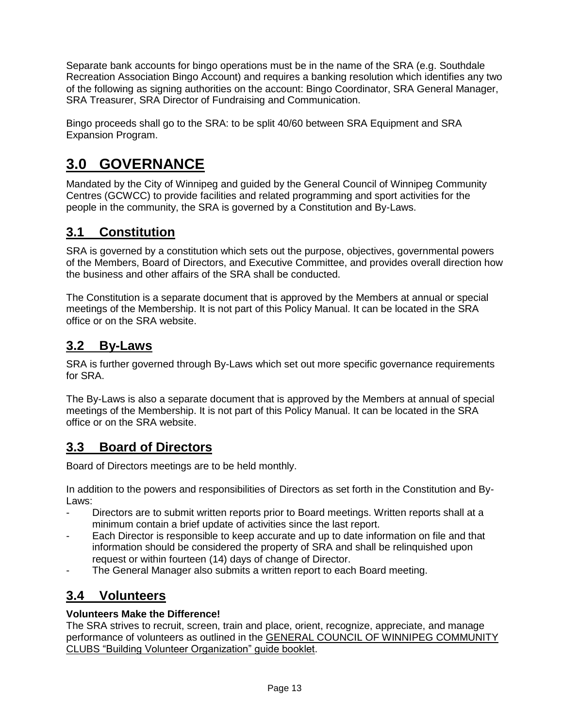Separate bank accounts for bingo operations must be in the name of the SRA (e.g. Southdale Recreation Association Bingo Account) and requires a banking resolution which identifies any two of the following as signing authorities on the account: Bingo Coordinator, SRA General Manager, SRA Treasurer, SRA Director of Fundraising and Communication.

Bingo proceeds shall go to the SRA: to be split 40/60 between SRA Equipment and SRA Expansion Program.

# **3.0 GOVERNANCE**

Mandated by the City of Winnipeg and guided by the General Council of Winnipeg Community Centres (GCWCC) to provide facilities and related programming and sport activities for the people in the community, the SRA is governed by a Constitution and By-Laws.

## **3.1 Constitution**

SRA is governed by a constitution which sets out the purpose, objectives, governmental powers of the Members, Board of Directors, and Executive Committee, and provides overall direction how the business and other affairs of the SRA shall be conducted.

The Constitution is a separate document that is approved by the Members at annual or special meetings of the Membership. It is not part of this Policy Manual. It can be located in the SRA office or on the SRA website.

### **3.2 By-Laws**

SRA is further governed through By-Laws which set out more specific governance requirements for SRA.

The By-Laws is also a separate document that is approved by the Members at annual of special meetings of the Membership. It is not part of this Policy Manual. It can be located in the SRA office or on the SRA website.

### **3.3 Board of Directors**

Board of Directors meetings are to be held monthly.

In addition to the powers and responsibilities of Directors as set forth in the Constitution and By-Laws:

- Directors are to submit written reports prior to Board meetings. Written reports shall at a minimum contain a brief update of activities since the last report.
- Each Director is responsible to keep accurate and up to date information on file and that information should be considered the property of SRA and shall be relinquished upon request or within fourteen (14) days of change of Director.
- The General Manager also submits a written report to each Board meeting.

### **3.4 Volunteers**

### **Volunteers Make the Difference!**

The SRA strives to recruit, screen, train and place, orient, recognize, appreciate, and manage performance of volunteers as outlined in the GENERAL COUNCIL OF WINNIPEG COMMUNITY CLUBS "Building Volunteer Organization" guide booklet.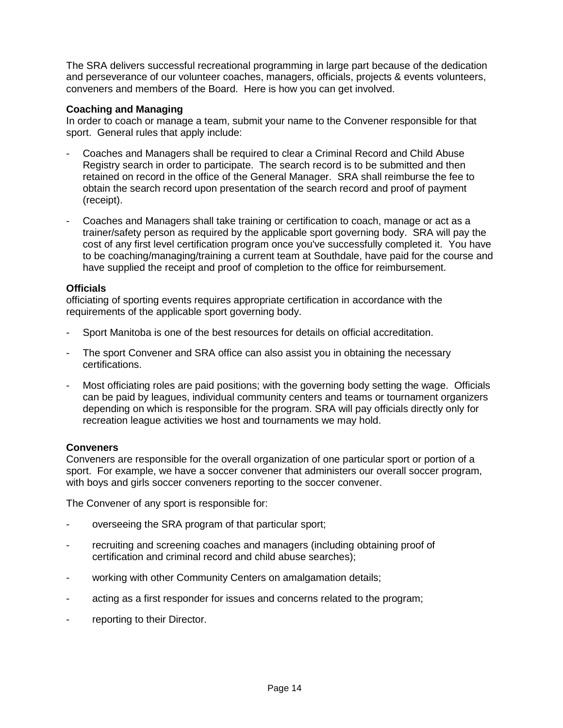The SRA delivers successful recreational programming in large part because of the dedication and perseverance of our volunteer coaches, managers, officials, projects & events volunteers, conveners and members of the Board. Here is how you can get involved.

#### **Coaching and Managing**

In order to coach or manage a team, submit your name to the Convener responsible for that sport. General rules that apply include:

- Coaches and Managers shall be required to clear a Criminal Record and Child Abuse Registry search in order to participate. The search record is to be submitted and then retained on record in the office of the General Manager. SRA shall reimburse the fee to obtain the search record upon presentation of the search record and proof of payment (receipt).
- Coaches and Managers shall take training or certification to coach, manage or act as a trainer/safety person as required by the applicable sport governing body. SRA will pay the cost of any first level certification program once you've successfully completed it. You have to be coaching/managing/training a current team at Southdale, have paid for the course and have supplied the receipt and proof of completion to the office for reimbursement.

#### **Officials**

officiating of sporting events requires appropriate certification in accordance with the requirements of the applicable sport governing body.

- Sport Manitoba is one of the best resources for details on official accreditation.
- The sport Convener and SRA office can also assist you in obtaining the necessary certifications.
- Most officiating roles are paid positions; with the governing body setting the wage. Officials can be paid by leagues, individual community centers and teams or tournament organizers depending on which is responsible for the program. SRA will pay officials directly only for recreation league activities we host and tournaments we may hold.

### **Conveners**

Conveners are responsible for the overall organization of one particular sport or portion of a sport. For example, we have a soccer convener that administers our overall soccer program, with boys and girls soccer conveners reporting to the soccer convener.

The Convener of any sport is responsible for:

- overseeing the SRA program of that particular sport;
- recruiting and screening coaches and managers (including obtaining proof of certification and criminal record and child abuse searches);
- working with other Community Centers on amalgamation details;
- acting as a first responder for issues and concerns related to the program;
- reporting to their Director.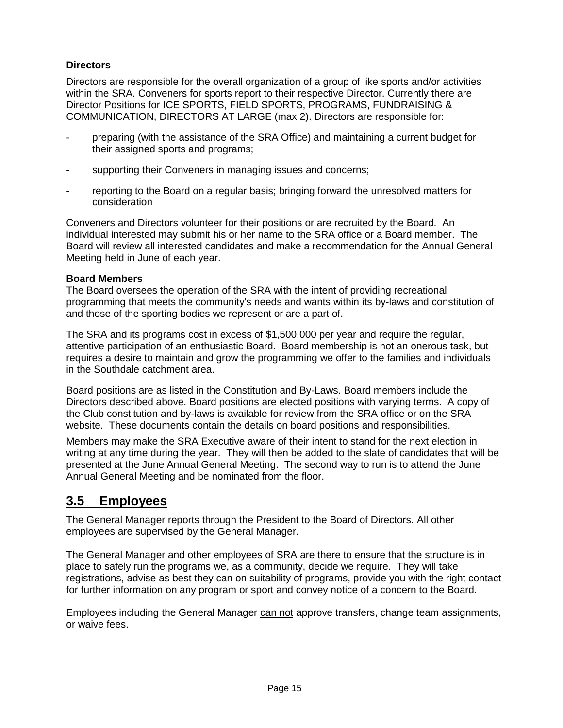### **Directors**

Directors are responsible for the overall organization of a group of like sports and/or activities within the SRA. Conveners for sports report to their respective Director. Currently there are Director Positions for ICE SPORTS, FIELD SPORTS, PROGRAMS, FUNDRAISING & COMMUNICATION, DIRECTORS AT LARGE (max 2). Directors are responsible for:

- preparing (with the assistance of the SRA Office) and maintaining a current budget for their assigned sports and programs;
- supporting their Conveners in managing issues and concerns;
- reporting to the Board on a regular basis; bringing forward the unresolved matters for consideration

Conveners and Directors volunteer for their positions or are recruited by the Board. An individual interested may submit his or her name to the SRA office or a Board member. The Board will review all interested candidates and make a recommendation for the Annual General Meeting held in June of each year.

### **Board Members**

The Board oversees the operation of the SRA with the intent of providing recreational programming that meets the community's needs and wants within its by-laws and constitution of and those of the sporting bodies we represent or are a part of.

The SRA and its programs cost in excess of \$1,500,000 per year and require the regular, attentive participation of an enthusiastic Board. Board membership is not an onerous task, but requires a desire to maintain and grow the programming we offer to the families and individuals in the Southdale catchment area.

Board positions are as listed in the Constitution and By-Laws. Board members include the Directors described above. Board positions are elected positions with varying terms. A copy of the Club constitution and by-laws is available for review from the SRA office or on the SRA website. These documents contain the details on board positions and responsibilities.

Members may make the SRA Executive aware of their intent to stand for the next election in writing at any time during the year. They will then be added to the slate of candidates that will be presented at the June Annual General Meeting. The second way to run is to attend the June Annual General Meeting and be nominated from the floor.

### **3.5 Employees**

The General Manager reports through the President to the Board of Directors. All other employees are supervised by the General Manager.

The General Manager and other employees of SRA are there to ensure that the structure is in place to safely run the programs we, as a community, decide we require. They will take registrations, advise as best they can on suitability of programs, provide you with the right contact for further information on any program or sport and convey notice of a concern to the Board.

Employees including the General Manager can not approve transfers, change team assignments, or waive fees.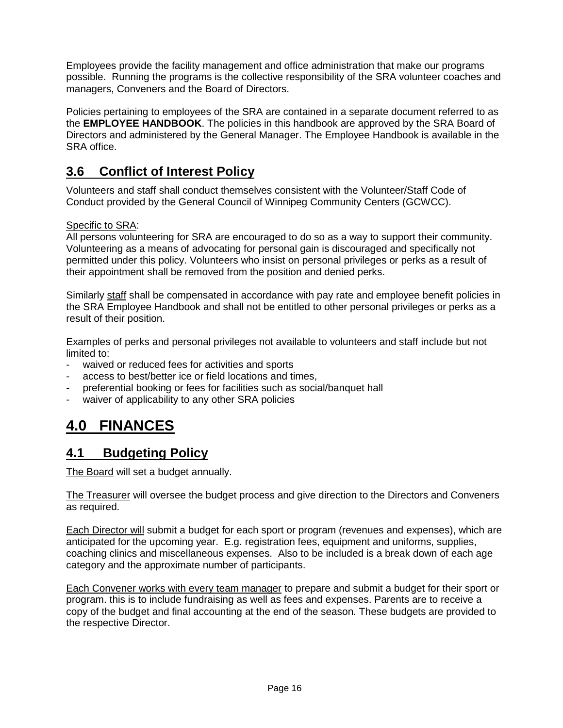Employees provide the facility management and office administration that make our programs possible. Running the programs is the collective responsibility of the SRA volunteer coaches and managers, Conveners and the Board of Directors.

Policies pertaining to employees of the SRA are contained in a separate document referred to as the **EMPLOYEE HANDBOOK**. The policies in this handbook are approved by the SRA Board of Directors and administered by the General Manager. The Employee Handbook is available in the SRA office.

### **3.6 Conflict of Interest Policy**

Volunteers and staff shall conduct themselves consistent with the Volunteer/Staff Code of Conduct provided by the General Council of Winnipeg Community Centers (GCWCC).

### Specific to SRA:

All persons volunteering for SRA are encouraged to do so as a way to support their community. Volunteering as a means of advocating for personal gain is discouraged and specifically not permitted under this policy. Volunteers who insist on personal privileges or perks as a result of their appointment shall be removed from the position and denied perks.

Similarly staff shall be compensated in accordance with pay rate and employee benefit policies in the SRA Employee Handbook and shall not be entitled to other personal privileges or perks as a result of their position.

Examples of perks and personal privileges not available to volunteers and staff include but not limited to:

- waived or reduced fees for activities and sports
- access to best/better ice or field locations and times.
- preferential booking or fees for facilities such as social/banquet hall
- waiver of applicability to any other SRA policies

## **4.0 FINANCES**

### **4.1 Budgeting Policy**

The Board will set a budget annually.

The Treasurer will oversee the budget process and give direction to the Directors and Conveners as required.

Each Director will submit a budget for each sport or program (revenues and expenses), which are anticipated for the upcoming year. E.g. registration fees, equipment and uniforms, supplies, coaching clinics and miscellaneous expenses. Also to be included is a break down of each age category and the approximate number of participants.

Each Convener works with every team manager to prepare and submit a budget for their sport or program. this is to include fundraising as well as fees and expenses. Parents are to receive a copy of the budget and final accounting at the end of the season. These budgets are provided to the respective Director.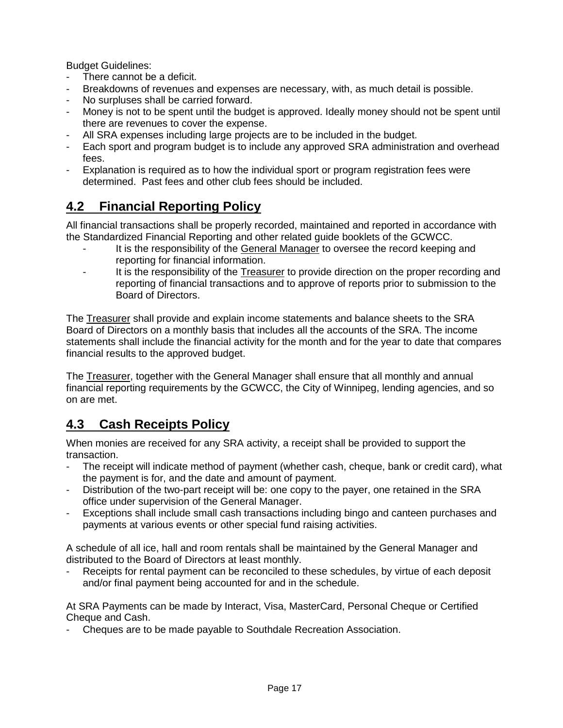Budget Guidelines:

- There cannot be a deficit.
- Breakdowns of revenues and expenses are necessary, with, as much detail is possible.
- No surpluses shall be carried forward.
- Money is not to be spent until the budget is approved. Ideally money should not be spent until there are revenues to cover the expense.
- All SRA expenses including large projects are to be included in the budget.
- Each sport and program budget is to include any approved SRA administration and overhead fees.
- Explanation is required as to how the individual sport or program registration fees were determined. Past fees and other club fees should be included.

## **4.2 Financial Reporting Policy**

All financial transactions shall be properly recorded, maintained and reported in accordance with the Standardized Financial Reporting and other related guide booklets of the GCWCC.

- It is the responsibility of the General Manager to oversee the record keeping and reporting for financial information.
- It is the responsibility of the Treasurer to provide direction on the proper recording and reporting of financial transactions and to approve of reports prior to submission to the Board of Directors.

The Treasurer shall provide and explain income statements and balance sheets to the SRA Board of Directors on a monthly basis that includes all the accounts of the SRA. The income statements shall include the financial activity for the month and for the year to date that compares financial results to the approved budget.

The Treasurer, together with the General Manager shall ensure that all monthly and annual financial reporting requirements by the GCWCC, the City of Winnipeg, lending agencies, and so on are met.

### **4.3 Cash Receipts Policy**

When monies are received for any SRA activity, a receipt shall be provided to support the transaction.

- The receipt will indicate method of payment (whether cash, cheque, bank or credit card), what the payment is for, and the date and amount of payment.
- Distribution of the two-part receipt will be: one copy to the payer, one retained in the SRA office under supervision of the General Manager.
- Exceptions shall include small cash transactions including bingo and canteen purchases and payments at various events or other special fund raising activities.

A schedule of all ice, hall and room rentals shall be maintained by the General Manager and distributed to the Board of Directors at least monthly.

Receipts for rental payment can be reconciled to these schedules, by virtue of each deposit and/or final payment being accounted for and in the schedule.

At SRA Payments can be made by Interact, Visa, MasterCard, Personal Cheque or Certified Cheque and Cash.

- Cheques are to be made payable to Southdale Recreation Association.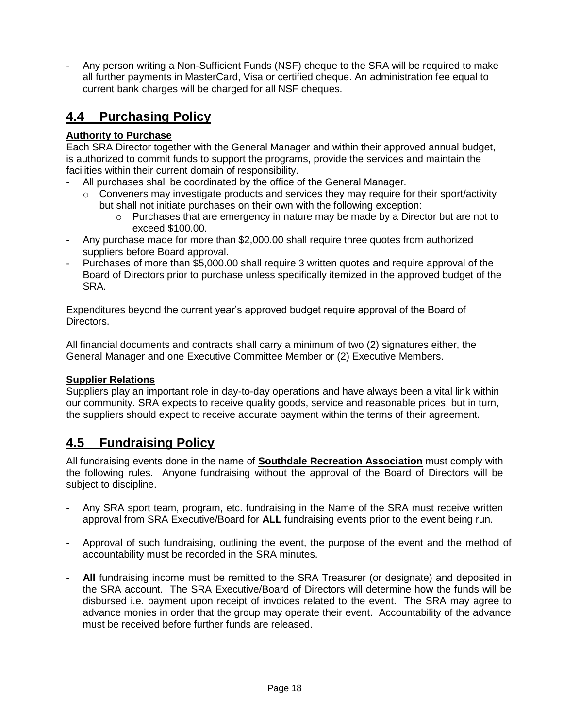- Any person writing a Non-Sufficient Funds (NSF) cheque to the SRA will be required to make all further payments in MasterCard, Visa or certified cheque. An administration fee equal to current bank charges will be charged for all NSF cheques.

## **4.4 Purchasing Policy**

### **Authority to Purchase**

Each SRA Director together with the General Manager and within their approved annual budget, is authorized to commit funds to support the programs, provide the services and maintain the facilities within their current domain of responsibility.

- All purchases shall be coordinated by the office of the General Manager.
	- $\circ$  Conveners may investigate products and services they may require for their sport/activity but shall not initiate purchases on their own with the following exception:
		- $\circ$  Purchases that are emergency in nature may be made by a Director but are not to exceed \$100.00.
- Any purchase made for more than \$2,000.00 shall require three quotes from authorized suppliers before Board approval.
- Purchases of more than \$5,000.00 shall require 3 written quotes and require approval of the Board of Directors prior to purchase unless specifically itemized in the approved budget of the SRA.

Expenditures beyond the current year's approved budget require approval of the Board of Directors.

All financial documents and contracts shall carry a minimum of two (2) signatures either, the General Manager and one Executive Committee Member or (2) Executive Members.

### **Supplier Relations**

Suppliers play an important role in day-to-day operations and have always been a vital link within our community. SRA expects to receive quality goods, service and reasonable prices, but in turn, the suppliers should expect to receive accurate payment within the terms of their agreement.

### **4.5 Fundraising Policy**

All fundraising events done in the name of **Southdale Recreation Association** must comply with the following rules. Anyone fundraising without the approval of the Board of Directors will be subject to discipline.

- Any SRA sport team, program, etc. fundraising in the Name of the SRA must receive written approval from SRA Executive/Board for **ALL** fundraising events prior to the event being run.
- Approval of such fundraising, outlining the event, the purpose of the event and the method of accountability must be recorded in the SRA minutes.
- All fundraising income must be remitted to the SRA Treasurer (or designate) and deposited in the SRA account. The SRA Executive/Board of Directors will determine how the funds will be disbursed i.e. payment upon receipt of invoices related to the event. The SRA may agree to advance monies in order that the group may operate their event. Accountability of the advance must be received before further funds are released.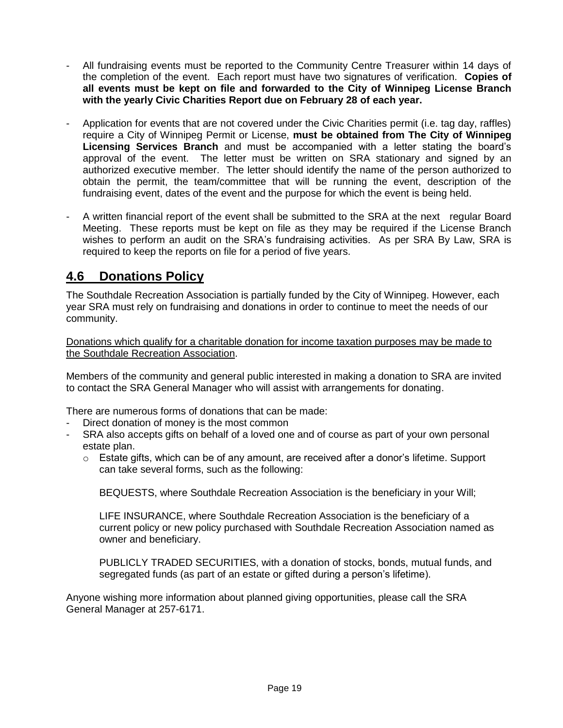- All fundraising events must be reported to the Community Centre Treasurer within 14 days of the completion of the event. Each report must have two signatures of verification. **Copies of all events must be kept on file and forwarded to the City of Winnipeg License Branch with the yearly Civic Charities Report due on February 28 of each year.**
- Application for events that are not covered under the Civic Charities permit (i.e. tag day, raffles) require a City of Winnipeg Permit or License, **must be obtained from The City of Winnipeg Licensing Services Branch** and must be accompanied with a letter stating the board's approval of the event. The letter must be written on SRA stationary and signed by an authorized executive member. The letter should identify the name of the person authorized to obtain the permit, the team/committee that will be running the event, description of the fundraising event, dates of the event and the purpose for which the event is being held.
- A written financial report of the event shall be submitted to the SRA at the next regular Board Meeting. These reports must be kept on file as they may be required if the License Branch wishes to perform an audit on the SRA's fundraising activities. As per SRA By Law, SRA is required to keep the reports on file for a period of five years.

### **4.6 Donations Policy**

The Southdale Recreation Association is partially funded by the City of Winnipeg. However, each year SRA must rely on fundraising and donations in order to continue to meet the needs of our community.

Donations which qualify for a charitable donation for income taxation purposes may be made to the Southdale Recreation Association.

Members of the community and general public interested in making a donation to SRA are invited to contact the SRA General Manager who will assist with arrangements for donating.

There are numerous forms of donations that can be made:

- Direct donation of money is the most common
- SRA also accepts gifts on behalf of a loved one and of course as part of your own personal estate plan.
	- $\circ$  Estate gifts, which can be of any amount, are received after a donor's lifetime. Support can take several forms, such as the following:

BEQUESTS, where Southdale Recreation Association is the beneficiary in your Will;

LIFE INSURANCE, where Southdale Recreation Association is the beneficiary of a current policy or new policy purchased with Southdale Recreation Association named as owner and beneficiary.

PUBLICLY TRADED SECURITIES, with a donation of stocks, bonds, mutual funds, and segregated funds (as part of an estate or gifted during a person's lifetime).

Anyone wishing more information about planned giving opportunities, please call the SRA General Manager at 257-6171.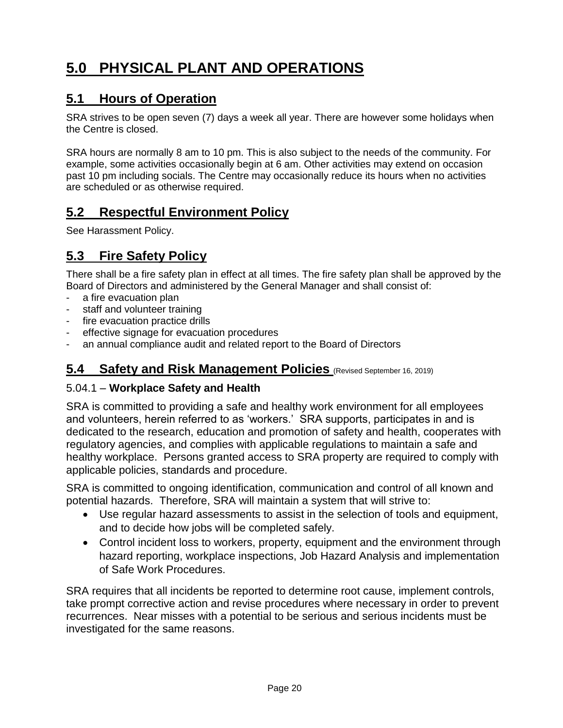# **5.0 PHYSICAL PLANT AND OPERATIONS**

### **5.1 Hours of Operation**

SRA strives to be open seven (7) days a week all year. There are however some holidays when the Centre is closed.

SRA hours are normally 8 am to 10 pm. This is also subject to the needs of the community. For example, some activities occasionally begin at 6 am. Other activities may extend on occasion past 10 pm including socials. The Centre may occasionally reduce its hours when no activities are scheduled or as otherwise required.

### **5.2 Respectful Environment Policy**

See Harassment Policy.

### **5.3 Fire Safety Policy**

There shall be a fire safety plan in effect at all times. The fire safety plan shall be approved by the Board of Directors and administered by the General Manager and shall consist of:

- a fire evacuation plan
- staff and volunteer training
- fire evacuation practice drills
- effective signage for evacuation procedures
- an annual compliance audit and related report to the Board of Directors

### **5.4 Safety and Risk Management Policies** (Revised September 16, 2019)

### 5.04.1 – **Workplace Safety and Health**

SRA is committed to providing a safe and healthy work environment for all employees and volunteers, herein referred to as 'workers.' SRA supports, participates in and is dedicated to the research, education and promotion of safety and health, cooperates with regulatory agencies, and complies with applicable regulations to maintain a safe and healthy workplace. Persons granted access to SRA property are required to comply with applicable policies, standards and procedure.

SRA is committed to ongoing identification, communication and control of all known and potential hazards. Therefore, SRA will maintain a system that will strive to:

- Use regular hazard assessments to assist in the selection of tools and equipment, and to decide how jobs will be completed safely.
- Control incident loss to workers, property, equipment and the environment through hazard reporting, workplace inspections, Job Hazard Analysis and implementation of Safe Work Procedures.

SRA requires that all incidents be reported to determine root cause, implement controls, take prompt corrective action and revise procedures where necessary in order to prevent recurrences. Near misses with a potential to be serious and serious incidents must be investigated for the same reasons.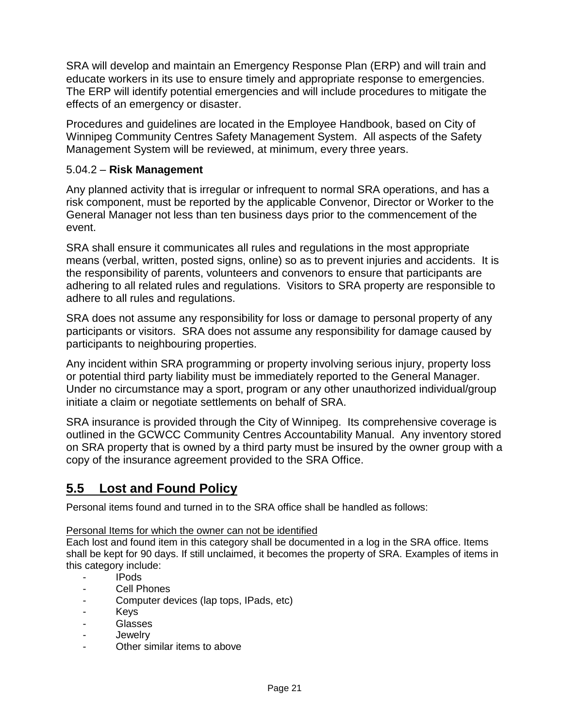SRA will develop and maintain an Emergency Response Plan (ERP) and will train and educate workers in its use to ensure timely and appropriate response to emergencies. The ERP will identify potential emergencies and will include procedures to mitigate the effects of an emergency or disaster.

Procedures and guidelines are located in the Employee Handbook, based on City of Winnipeg Community Centres Safety Management System. All aspects of the Safety Management System will be reviewed, at minimum, every three years.

### 5.04.2 – **Risk Management**

Any planned activity that is irregular or infrequent to normal SRA operations, and has a risk component, must be reported by the applicable Convenor, Director or Worker to the General Manager not less than ten business days prior to the commencement of the event.

SRA shall ensure it communicates all rules and regulations in the most appropriate means (verbal, written, posted signs, online) so as to prevent injuries and accidents. It is the responsibility of parents, volunteers and convenors to ensure that participants are adhering to all related rules and regulations. Visitors to SRA property are responsible to adhere to all rules and regulations.

SRA does not assume any responsibility for loss or damage to personal property of any participants or visitors. SRA does not assume any responsibility for damage caused by participants to neighbouring properties.

Any incident within SRA programming or property involving serious injury, property loss or potential third party liability must be immediately reported to the General Manager. Under no circumstance may a sport, program or any other unauthorized individual/group initiate a claim or negotiate settlements on behalf of SRA.

SRA insurance is provided through the City of Winnipeg. Its comprehensive coverage is outlined in the GCWCC Community Centres Accountability Manual. Any inventory stored on SRA property that is owned by a third party must be insured by the owner group with a copy of the insurance agreement provided to the SRA Office.

### **5.5 Lost and Found Policy**

Personal items found and turned in to the SRA office shall be handled as follows:

### Personal Items for which the owner can not be identified

Each lost and found item in this category shall be documented in a log in the SRA office. Items shall be kept for 90 days. If still unclaimed, it becomes the property of SRA. Examples of items in this category include:

- IPods
- Cell Phones
- Computer devices (lap tops, IPads, etc)
- Keys
- Glasses
- Jewelry
- Other similar items to above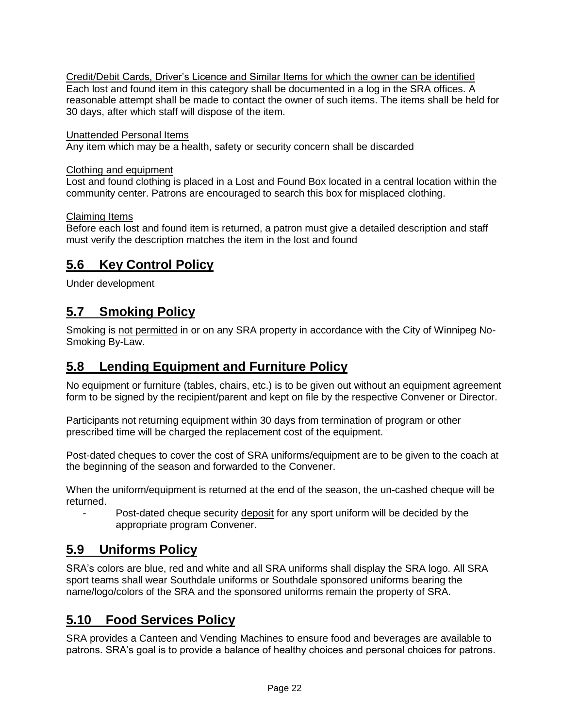Credit/Debit Cards, Driver's Licence and Similar Items for which the owner can be identified Each lost and found item in this category shall be documented in a log in the SRA offices. A reasonable attempt shall be made to contact the owner of such items. The items shall be held for 30 days, after which staff will dispose of the item.

### Unattended Personal Items

Any item which may be a health, safety or security concern shall be discarded

### Clothing and equipment

Lost and found clothing is placed in a Lost and Found Box located in a central location within the community center. Patrons are encouraged to search this box for misplaced clothing.

### Claiming Items

Before each lost and found item is returned, a patron must give a detailed description and staff must verify the description matches the item in the lost and found

### **5.6 Key Control Policy**

Under development

### **5.7 Smoking Policy**

Smoking is not permitted in or on any SRA property in accordance with the City of Winnipeg No-Smoking By-Law.

### **5.8 Lending Equipment and Furniture Policy**

No equipment or furniture (tables, chairs, etc.) is to be given out without an equipment agreement form to be signed by the recipient/parent and kept on file by the respective Convener or Director.

Participants not returning equipment within 30 days from termination of program or other prescribed time will be charged the replacement cost of the equipment.

Post-dated cheques to cover the cost of SRA uniforms/equipment are to be given to the coach at the beginning of the season and forwarded to the Convener.

When the uniform/equipment is returned at the end of the season, the un-cashed cheque will be returned.

Post-dated cheque security deposit for any sport uniform will be decided by the appropriate program Convener.

### **5.9 Uniforms Policy**

SRA's colors are blue, red and white and all SRA uniforms shall display the SRA logo. All SRA sport teams shall wear Southdale uniforms or Southdale sponsored uniforms bearing the name/logo/colors of the SRA and the sponsored uniforms remain the property of SRA.

### **5.10 Food Services Policy**

SRA provides a Canteen and Vending Machines to ensure food and beverages are available to patrons. SRA's goal is to provide a balance of healthy choices and personal choices for patrons.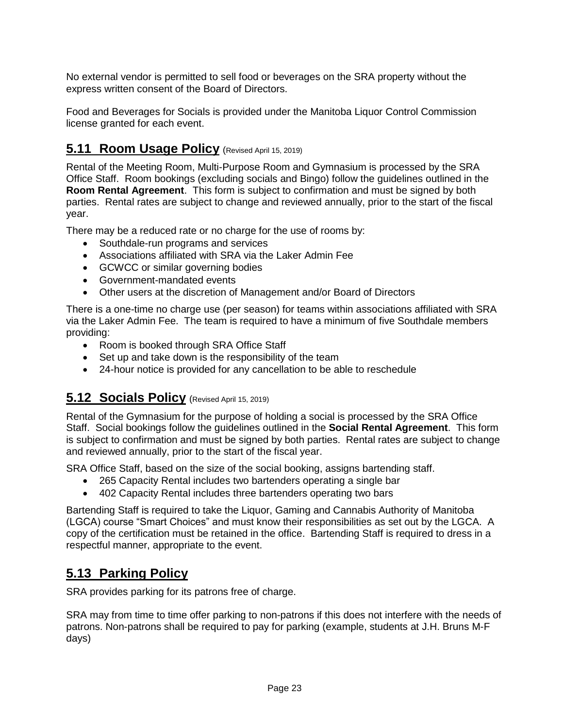No external vendor is permitted to sell food or beverages on the SRA property without the express written consent of the Board of Directors.

Food and Beverages for Socials is provided under the Manitoba Liquor Control Commission license granted for each event.

### **5.11 Room Usage Policy** (Revised April 15, 2019)

Rental of the Meeting Room, Multi-Purpose Room and Gymnasium is processed by the SRA Office Staff. Room bookings (excluding socials and Bingo) follow the guidelines outlined in the **Room Rental Agreement**. This form is subject to confirmation and must be signed by both parties. Rental rates are subject to change and reviewed annually, prior to the start of the fiscal year.

There may be a reduced rate or no charge for the use of rooms by:

- Southdale-run programs and services
- Associations affiliated with SRA via the Laker Admin Fee
- GCWCC or similar governing bodies
- Government-mandated events
- Other users at the discretion of Management and/or Board of Directors

There is a one-time no charge use (per season) for teams within associations affiliated with SRA via the Laker Admin Fee. The team is required to have a minimum of five Southdale members providing:

- Room is booked through SRA Office Staff
- Set up and take down is the responsibility of the team
- 24-hour notice is provided for any cancellation to be able to reschedule

### **5.12 Socials Policy** (Revised April 15, 2019)

Rental of the Gymnasium for the purpose of holding a social is processed by the SRA Office Staff. Social bookings follow the guidelines outlined in the **Social Rental Agreement**. This form is subject to confirmation and must be signed by both parties. Rental rates are subject to change and reviewed annually, prior to the start of the fiscal year.

SRA Office Staff, based on the size of the social booking, assigns bartending staff.

- 265 Capacity Rental includes two bartenders operating a single bar
- 402 Capacity Rental includes three bartenders operating two bars

Bartending Staff is required to take the Liquor, Gaming and Cannabis Authority of Manitoba (LGCA) course "Smart Choices" and must know their responsibilities as set out by the LGCA. A copy of the certification must be retained in the office. Bartending Staff is required to dress in a respectful manner, appropriate to the event.

### **5.13 Parking Policy**

SRA provides parking for its patrons free of charge.

SRA may from time to time offer parking to non-patrons if this does not interfere with the needs of patrons. Non-patrons shall be required to pay for parking (example, students at J.H. Bruns M-F days)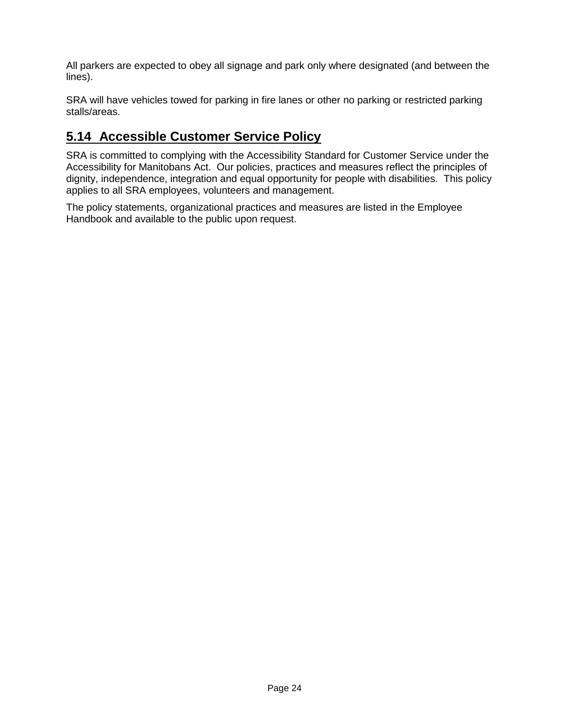All parkers are expected to obey all signage and park only where designated (and between the lines).

SRA will have vehicles towed for parking in fire lanes or other no parking or restricted parking stalls/areas.

### **5.14 Accessible Customer Service Policy**

SRA is committed to complying with the Accessibility Standard for Customer Service under the Accessibility for Manitobans Act. Our policies, practices and measures reflect the principles of dignity, independence, integration and equal opportunity for people with disabilities. This policy applies to all SRA employees, volunteers and management.

The policy statements, organizational practices and measures are listed in the Employee Handbook and available to the public upon request.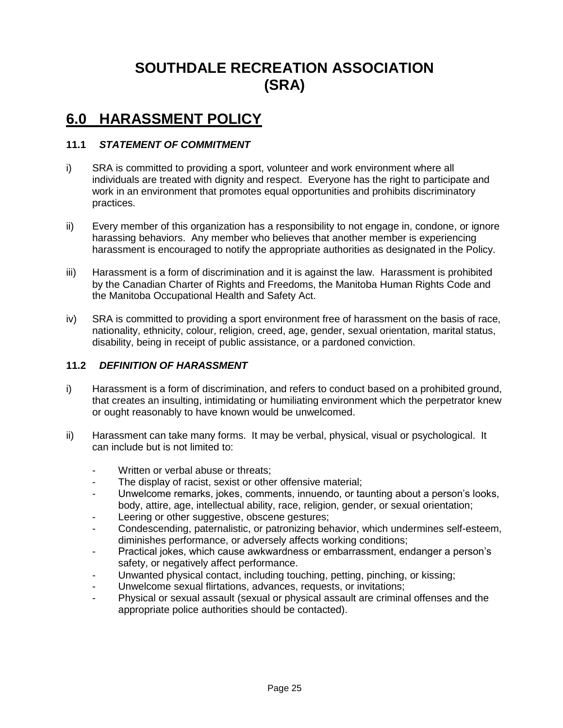# **SOUTHDALE RECREATION ASSOCIATION (SRA)**

## **6.0 HARASSMENT POLICY**

### **11.1** *STATEMENT OF COMMITMENT*

- i) SRA is committed to providing a sport, volunteer and work environment where all individuals are treated with dignity and respect. Everyone has the right to participate and work in an environment that promotes equal opportunities and prohibits discriminatory practices.
- ii) Every member of this organization has a responsibility to not engage in, condone, or ignore harassing behaviors. Any member who believes that another member is experiencing harassment is encouraged to notify the appropriate authorities as designated in the Policy.
- iii) Harassment is a form of discrimination and it is against the law. Harassment is prohibited by the Canadian Charter of Rights and Freedoms, the Manitoba Human Rights Code and the Manitoba Occupational Health and Safety Act.
- iv) SRA is committed to providing a sport environment free of harassment on the basis of race, nationality, ethnicity, colour, religion, creed, age, gender, sexual orientation, marital status, disability, being in receipt of public assistance, or a pardoned conviction.

### **11.2** *DEFINITION OF HARASSMENT*

- i) Harassment is a form of discrimination, and refers to conduct based on a prohibited ground, that creates an insulting, intimidating or humiliating environment which the perpetrator knew or ought reasonably to have known would be unwelcomed.
- ii) Harassment can take many forms. It may be verbal, physical, visual or psychological. It can include but is not limited to:
	- Written or verbal abuse or threats:
	- The display of racist, sexist or other offensive material;
	- Unwelcome remarks, jokes, comments, innuendo, or taunting about a person's looks, body, attire, age, intellectual ability, race, religion, gender, or sexual orientation;
	- Leering or other suggestive, obscene gestures;
	- Condescending, paternalistic, or patronizing behavior, which undermines self-esteem, diminishes performance, or adversely affects working conditions;
	- Practical jokes, which cause awkwardness or embarrassment, endanger a person's safety, or negatively affect performance.
	- Unwanted physical contact, including touching, petting, pinching, or kissing;
	- Unwelcome sexual flirtations, advances, requests, or invitations;
	- Physical or sexual assault (sexual or physical assault are criminal offenses and the appropriate police authorities should be contacted).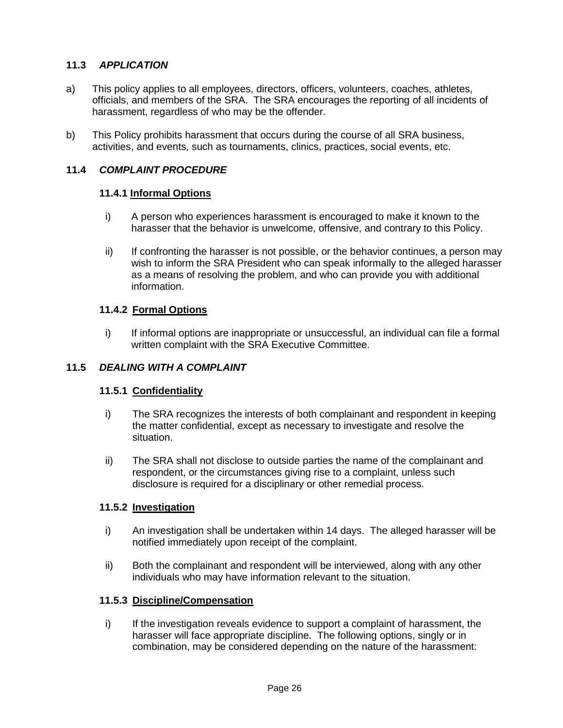### **11.3** *APPLICATION*

- a) This policy applies to all employees, directors, officers, volunteers, coaches, athletes, officials, and members of the SRA. The SRA encourages the reporting of all incidents of harassment, regardless of who may be the offender.
- b) This Policy prohibits harassment that occurs during the course of all SRA business, activities, and events, such as tournaments, clinics, practices, social events, etc.

### **11.4** *COMPLAINT PROCEDURE*

#### **11.4.1 Informal Options**

- i) A person who experiences harassment is encouraged to make it known to the harasser that the behavior is unwelcome, offensive, and contrary to this Policy.
- ii) If confronting the harasser is not possible, or the behavior continues, a person may wish to inform the SRA President who can speak informally to the alleged harasser as a means of resolving the problem, and who can provide you with additional information.

### **11.4.2 Formal Options**

i) If informal options are inappropriate or unsuccessful, an individual can file a formal written complaint with the SRA Executive Committee.

#### **11.5** *DEALING WITH A COMPLAINT*

### **11.5.1 Confidentiality**

- i) The SRA recognizes the interests of both complainant and respondent in keeping the matter confidential, except as necessary to investigate and resolve the situation.
- ii) The SRA shall not disclose to outside parties the name of the complainant and respondent, or the circumstances giving rise to a complaint, unless such disclosure is required for a disciplinary or other remedial process.

#### **11.5.2 Investigation**

- i) An investigation shall be undertaken within 14 days. The alleged harasser will be notified immediately upon receipt of the complaint.
- ii) Both the complainant and respondent will be interviewed, along with any other individuals who may have information relevant to the situation.

#### **11.5.3 Discipline/Compensation**

i) If the investigation reveals evidence to support a complaint of harassment, the harasser will face appropriate discipline. The following options, singly or in combination, may be considered depending on the nature of the harassment: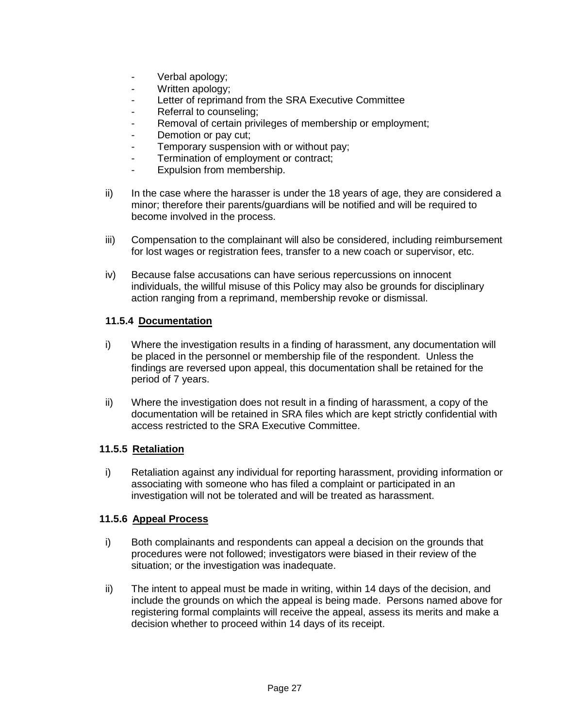- Verbal apology:
- Written apology;
- Letter of reprimand from the SRA Executive Committee
- Referral to counseling;
- Removal of certain privileges of membership or employment;
- Demotion or pay cut;
- Temporary suspension with or without pay;
- Termination of employment or contract;
- Expulsion from membership.
- $ii)$  In the case where the harasser is under the 18 years of age, they are considered a minor; therefore their parents/guardians will be notified and will be required to become involved in the process.
- iii) Compensation to the complainant will also be considered, including reimbursement for lost wages or registration fees, transfer to a new coach or supervisor, etc.
- iv) Because false accusations can have serious repercussions on innocent individuals, the willful misuse of this Policy may also be grounds for disciplinary action ranging from a reprimand, membership revoke or dismissal.

### **11.5.4 Documentation**

- i) Where the investigation results in a finding of harassment, any documentation will be placed in the personnel or membership file of the respondent. Unless the findings are reversed upon appeal, this documentation shall be retained for the period of 7 years.
- ii) Where the investigation does not result in a finding of harassment, a copy of the documentation will be retained in SRA files which are kept strictly confidential with access restricted to the SRA Executive Committee.

### **11.5.5 Retaliation**

i) Retaliation against any individual for reporting harassment, providing information or associating with someone who has filed a complaint or participated in an investigation will not be tolerated and will be treated as harassment.

### **11.5.6 Appeal Process**

- i) Both complainants and respondents can appeal a decision on the grounds that procedures were not followed; investigators were biased in their review of the situation; or the investigation was inadequate.
- ii) The intent to appeal must be made in writing, within 14 days of the decision, and include the grounds on which the appeal is being made. Persons named above for registering formal complaints will receive the appeal, assess its merits and make a decision whether to proceed within 14 days of its receipt.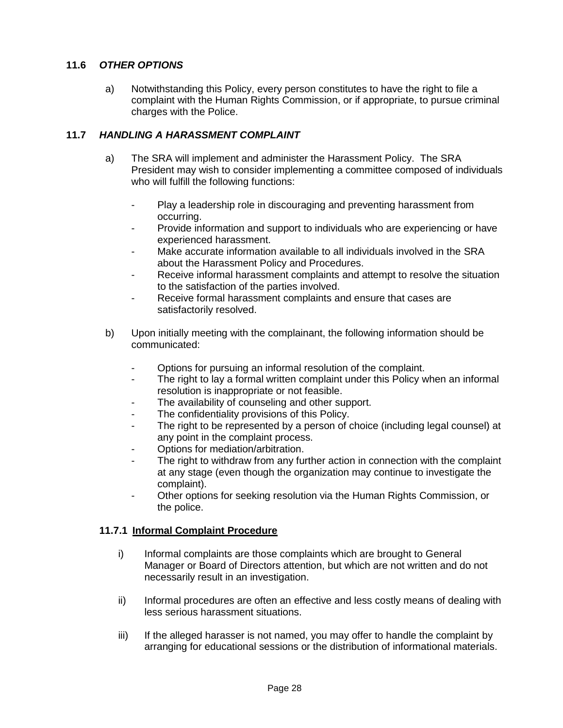### **11.6** *OTHER OPTIONS*

a) Notwithstanding this Policy, every person constitutes to have the right to file a complaint with the Human Rights Commission, or if appropriate, to pursue criminal charges with the Police.

### **11.7** *HANDLING A HARASSMENT COMPLAINT*

- a) The SRA will implement and administer the Harassment Policy. The SRA President may wish to consider implementing a committee composed of individuals who will fulfill the following functions:
	- Play a leadership role in discouraging and preventing harassment from occurring.
	- Provide information and support to individuals who are experiencing or have experienced harassment.
	- Make accurate information available to all individuals involved in the SRA about the Harassment Policy and Procedures.
	- Receive informal harassment complaints and attempt to resolve the situation to the satisfaction of the parties involved.
	- Receive formal harassment complaints and ensure that cases are satisfactorily resolved.
- b) Upon initially meeting with the complainant, the following information should be communicated:
	- Options for pursuing an informal resolution of the complaint.
	- The right to lay a formal written complaint under this Policy when an informal resolution is inappropriate or not feasible.
	- The availability of counseling and other support.
	- The confidentiality provisions of this Policy.
	- The right to be represented by a person of choice (including legal counsel) at any point in the complaint process.
	- Options for mediation/arbitration.
	- The right to withdraw from any further action in connection with the complaint at any stage (even though the organization may continue to investigate the complaint).
	- Other options for seeking resolution via the Human Rights Commission, or the police.

### **11.7.1 Informal Complaint Procedure**

- i) Informal complaints are those complaints which are brought to General Manager or Board of Directors attention, but which are not written and do not necessarily result in an investigation.
- ii) Informal procedures are often an effective and less costly means of dealing with less serious harassment situations.
- iii) If the alleged harasser is not named, you may offer to handle the complaint by arranging for educational sessions or the distribution of informational materials.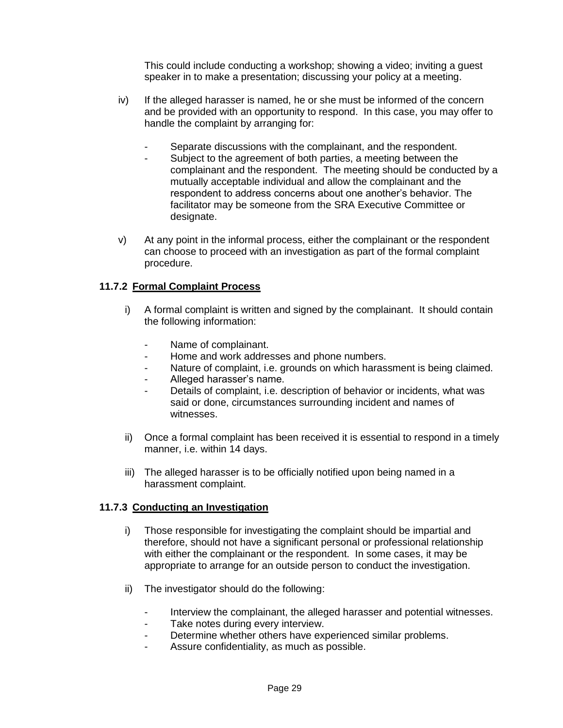This could include conducting a workshop; showing a video; inviting a guest speaker in to make a presentation; discussing your policy at a meeting.

- iv) If the alleged harasser is named, he or she must be informed of the concern and be provided with an opportunity to respond. In this case, you may offer to handle the complaint by arranging for:
	- Separate discussions with the complainant, and the respondent.
	- Subject to the agreement of both parties, a meeting between the complainant and the respondent. The meeting should be conducted by a mutually acceptable individual and allow the complainant and the respondent to address concerns about one another's behavior. The facilitator may be someone from the SRA Executive Committee or designate.
- v) At any point in the informal process, either the complainant or the respondent can choose to proceed with an investigation as part of the formal complaint procedure.

### **11.7.2 Formal Complaint Process**

- i) A formal complaint is written and signed by the complainant. It should contain the following information:
	- Name of complainant.
	- Home and work addresses and phone numbers.
	- Nature of complaint, i.e. grounds on which harassment is being claimed.
	- Alleged harasser's name.
	- Details of complaint, i.e. description of behavior or incidents, what was said or done, circumstances surrounding incident and names of witnesses.
- ii) Once a formal complaint has been received it is essential to respond in a timely manner, i.e. within 14 days.
- iii) The alleged harasser is to be officially notified upon being named in a harassment complaint.

### **11.7.3 Conducting an Investigation**

- i) Those responsible for investigating the complaint should be impartial and therefore, should not have a significant personal or professional relationship with either the complainant or the respondent. In some cases, it may be appropriate to arrange for an outside person to conduct the investigation.
- ii) The investigator should do the following:
	- Interview the complainant, the alleged harasser and potential witnesses.
	- Take notes during every interview.
	- Determine whether others have experienced similar problems.
	- Assure confidentiality, as much as possible.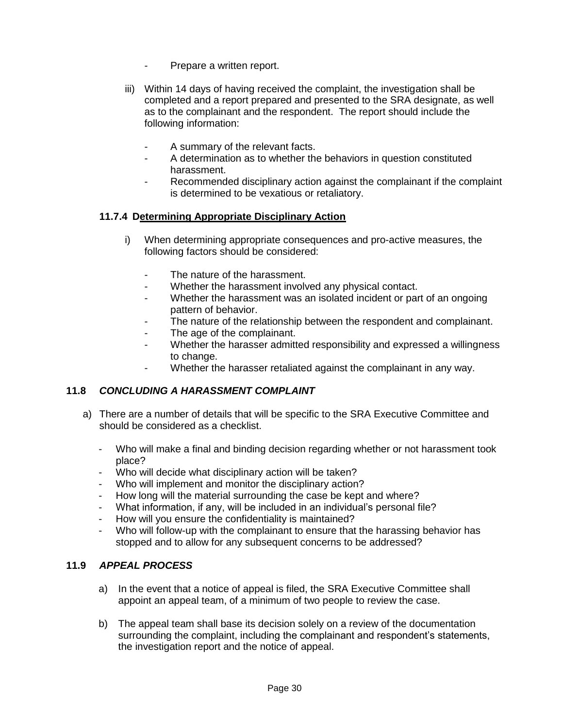- Prepare a written report.
- iii) Within 14 days of having received the complaint, the investigation shall be completed and a report prepared and presented to the SRA designate, as well as to the complainant and the respondent. The report should include the following information:
	- A summary of the relevant facts.
	- A determination as to whether the behaviors in question constituted harassment.
	- Recommended disciplinary action against the complainant if the complaint is determined to be vexatious or retaliatory.

### **11.7.4 Determining Appropriate Disciplinary Action**

- i) When determining appropriate consequences and pro-active measures, the following factors should be considered:
	- The nature of the harassment.
	- Whether the harassment involved any physical contact.
	- Whether the harassment was an isolated incident or part of an ongoing pattern of behavior.
	- The nature of the relationship between the respondent and complainant.
	- The age of the complainant.
	- Whether the harasser admitted responsibility and expressed a willingness to change.
	- Whether the harasser retaliated against the complainant in any way.

### **11.8** *CONCLUDING A HARASSMENT COMPLAINT*

- a) There are a number of details that will be specific to the SRA Executive Committee and should be considered as a checklist.
	- Who will make a final and binding decision regarding whether or not harassment took place?
	- Who will decide what disciplinary action will be taken?
	- Who will implement and monitor the disciplinary action?
	- How long will the material surrounding the case be kept and where?
	- What information, if any, will be included in an individual's personal file?
	- How will you ensure the confidentiality is maintained?
	- Who will follow-up with the complainant to ensure that the harassing behavior has stopped and to allow for any subsequent concerns to be addressed?

### **11.9** *APPEAL PROCESS*

- a) In the event that a notice of appeal is filed, the SRA Executive Committee shall appoint an appeal team, of a minimum of two people to review the case.
- b) The appeal team shall base its decision solely on a review of the documentation surrounding the complaint, including the complainant and respondent's statements, the investigation report and the notice of appeal.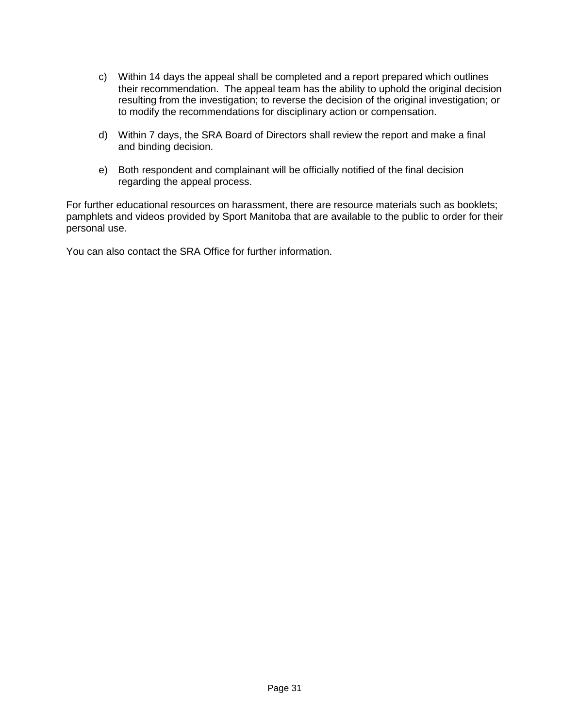- c) Within 14 days the appeal shall be completed and a report prepared which outlines their recommendation. The appeal team has the ability to uphold the original decision resulting from the investigation; to reverse the decision of the original investigation; or to modify the recommendations for disciplinary action or compensation.
- d) Within 7 days, the SRA Board of Directors shall review the report and make a final and binding decision.
- e) Both respondent and complainant will be officially notified of the final decision regarding the appeal process.

For further educational resources on harassment, there are resource materials such as booklets; pamphlets and videos provided by Sport Manitoba that are available to the public to order for their personal use.

You can also contact the SRA Office for further information.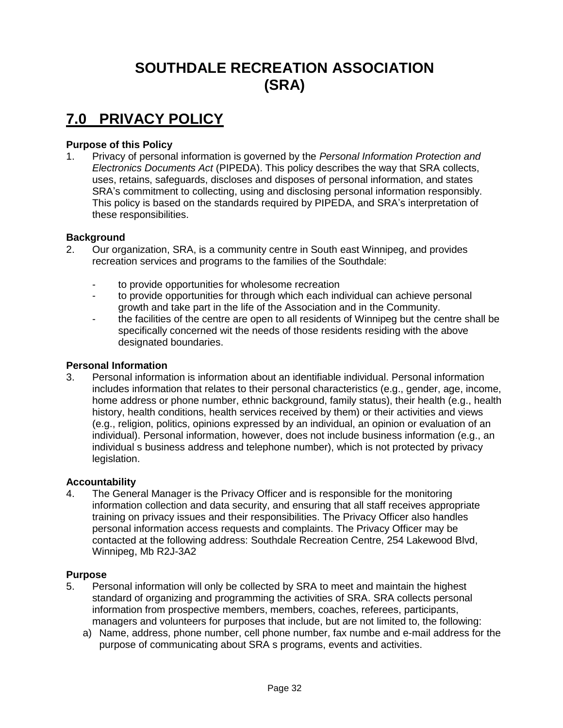# **SOUTHDALE RECREATION ASSOCIATION (SRA)**

## **7.0 PRIVACY POLICY**

### **Purpose of this Policy**

1. Privacy of personal information is governed by the *Personal Information Protection and Electronics Documents Act* (PIPEDA). This policy describes the way that SRA collects, uses, retains, safeguards, discloses and disposes of personal information, and states SRA's commitment to collecting, using and disclosing personal information responsibly. This policy is based on the standards required by PIPEDA, and SRA's interpretation of these responsibilities.

#### **Background**

- 2. Our organization, SRA, is a community centre in South east Winnipeg, and provides recreation services and programs to the families of the Southdale:
	- to provide opportunities for wholesome recreation
	- to provide opportunities for through which each individual can achieve personal growth and take part in the life of the Association and in the Community.
	- the facilities of the centre are open to all residents of Winnipeg but the centre shall be specifically concerned wit the needs of those residents residing with the above designated boundaries.

#### **Personal Information**

3. Personal information is information about an identifiable individual. Personal information includes information that relates to their personal characteristics (e.g., gender, age, income, home address or phone number, ethnic background, family status), their health (e.g., health history, health conditions, health services received by them) or their activities and views (e.g., religion, politics, opinions expressed by an individual, an opinion or evaluation of an individual). Personal information, however, does not include business information (e.g., an individual s business address and telephone number), which is not protected by privacy legislation.

#### **Accountability**

4. The General Manager is the Privacy Officer and is responsible for the monitoring information collection and data security, and ensuring that all staff receives appropriate training on privacy issues and their responsibilities. The Privacy Officer also handles personal information access requests and complaints. The Privacy Officer may be contacted at the following address: Southdale Recreation Centre, 254 Lakewood Blvd, Winnipeg, Mb R2J-3A2

#### **Purpose**

- 5. Personal information will only be collected by SRA to meet and maintain the highest standard of organizing and programming the activities of SRA. SRA collects personal information from prospective members, members, coaches, referees, participants, managers and volunteers for purposes that include, but are not limited to, the following:
	- a) Name, address, phone number, cell phone number, fax numbe and e-mail address for the purpose of communicating about SRA s programs, events and activities.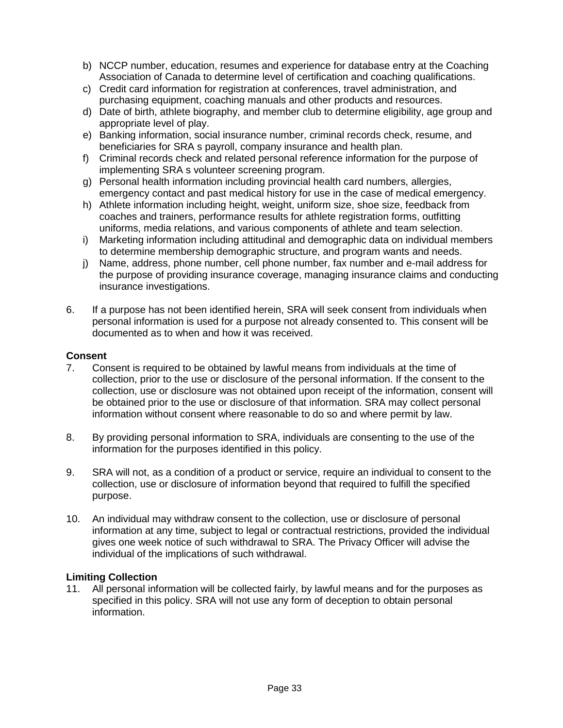- b) NCCP number, education, resumes and experience for database entry at the Coaching Association of Canada to determine level of certification and coaching qualifications.
- c) Credit card information for registration at conferences, travel administration, and purchasing equipment, coaching manuals and other products and resources.
- d) Date of birth, athlete biography, and member club to determine eligibility, age group and appropriate level of play.
- e) Banking information, social insurance number, criminal records check, resume, and beneficiaries for SRA s payroll, company insurance and health plan.
- f) Criminal records check and related personal reference information for the purpose of implementing SRA s volunteer screening program.
- g) Personal health information including provincial health card numbers, allergies, emergency contact and past medical history for use in the case of medical emergency.
- h) Athlete information including height, weight, uniform size, shoe size, feedback from coaches and trainers, performance results for athlete registration forms, outfitting uniforms, media relations, and various components of athlete and team selection.
- i) Marketing information including attitudinal and demographic data on individual members to determine membership demographic structure, and program wants and needs.
- j) Name, address, phone number, cell phone number, fax number and e-mail address for the purpose of providing insurance coverage, managing insurance claims and conducting insurance investigations.
- 6. If a purpose has not been identified herein, SRA will seek consent from individuals when personal information is used for a purpose not already consented to. This consent will be documented as to when and how it was received.

### **Consent**

- 7. Consent is required to be obtained by lawful means from individuals at the time of collection, prior to the use or disclosure of the personal information. If the consent to the collection, use or disclosure was not obtained upon receipt of the information, consent will be obtained prior to the use or disclosure of that information. SRA may collect personal information without consent where reasonable to do so and where permit by law.
- 8. By providing personal information to SRA, individuals are consenting to the use of the information for the purposes identified in this policy.
- 9. SRA will not, as a condition of a product or service, require an individual to consent to the collection, use or disclosure of information beyond that required to fulfill the specified purpose.
- 10. An individual may withdraw consent to the collection, use or disclosure of personal information at any time, subject to legal or contractual restrictions, provided the individual gives one week notice of such withdrawal to SRA. The Privacy Officer will advise the individual of the implications of such withdrawal.

#### **Limiting Collection**

11. All personal information will be collected fairly, by lawful means and for the purposes as specified in this policy. SRA will not use any form of deception to obtain personal information.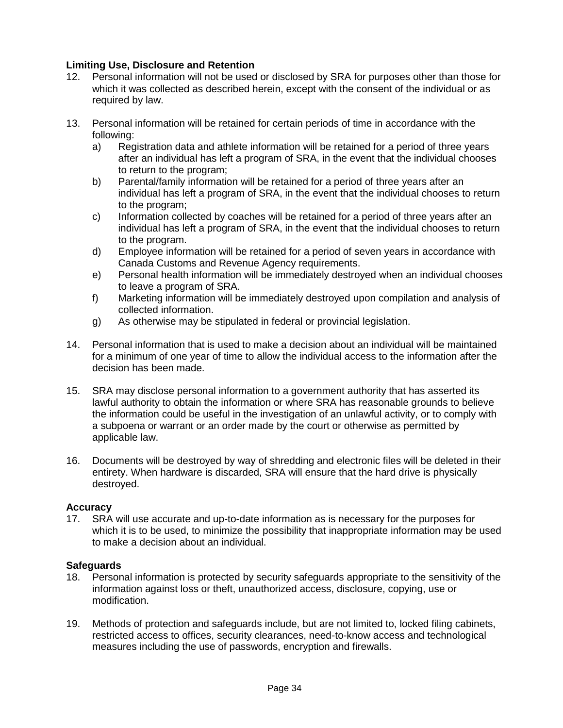### **Limiting Use, Disclosure and Retention**

- 12. Personal information will not be used or disclosed by SRA for purposes other than those for which it was collected as described herein, except with the consent of the individual or as required by law.
- 13. Personal information will be retained for certain periods of time in accordance with the following:
	- a) Registration data and athlete information will be retained for a period of three years after an individual has left a program of SRA, in the event that the individual chooses to return to the program;
	- b) Parental/family information will be retained for a period of three years after an individual has left a program of SRA, in the event that the individual chooses to return to the program;
	- c) Information collected by coaches will be retained for a period of three years after an individual has left a program of SRA, in the event that the individual chooses to return to the program.
	- d) Employee information will be retained for a period of seven years in accordance with Canada Customs and Revenue Agency requirements.
	- e) Personal health information will be immediately destroyed when an individual chooses to leave a program of SRA.
	- f) Marketing information will be immediately destroyed upon compilation and analysis of collected information.
	- g) As otherwise may be stipulated in federal or provincial legislation.
- 14. Personal information that is used to make a decision about an individual will be maintained for a minimum of one year of time to allow the individual access to the information after the decision has been made.
- 15. SRA may disclose personal information to a government authority that has asserted its lawful authority to obtain the information or where SRA has reasonable grounds to believe the information could be useful in the investigation of an unlawful activity, or to comply with a subpoena or warrant or an order made by the court or otherwise as permitted by applicable law.
- 16. Documents will be destroyed by way of shredding and electronic files will be deleted in their entirety. When hardware is discarded, SRA will ensure that the hard drive is physically destroyed.

### **Accuracy**

17. SRA will use accurate and up-to-date information as is necessary for the purposes for which it is to be used, to minimize the possibility that inappropriate information may be used to make a decision about an individual.

#### **Safeguards**

- 18. Personal information is protected by security safeguards appropriate to the sensitivity of the information against loss or theft, unauthorized access, disclosure, copying, use or modification.
- 19. Methods of protection and safeguards include, but are not limited to, locked filing cabinets, restricted access to offices, security clearances, need-to-know access and technological measures including the use of passwords, encryption and firewalls.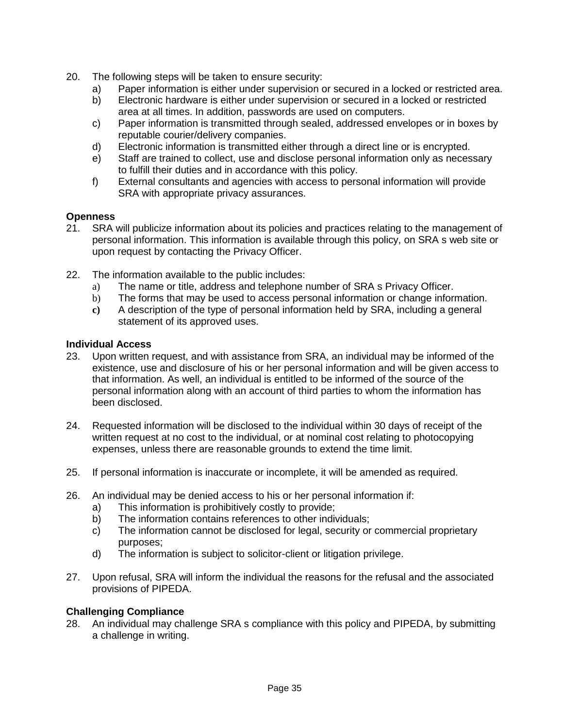- 20. The following steps will be taken to ensure security:
	- a) Paper information is either under supervision or secured in a locked or restricted area.
	- b) Electronic hardware is either under supervision or secured in a locked or restricted area at all times. In addition, passwords are used on computers.
	- c) Paper information is transmitted through sealed, addressed envelopes or in boxes by reputable courier/delivery companies.
	- d) Electronic information is transmitted either through a direct line or is encrypted.
	- e) Staff are trained to collect, use and disclose personal information only as necessary to fulfill their duties and in accordance with this policy.
	- f) External consultants and agencies with access to personal information will provide SRA with appropriate privacy assurances.

### **Openness**

- 21. SRA will publicize information about its policies and practices relating to the management of personal information. This information is available through this policy, on SRA s web site or upon request by contacting the Privacy Officer.
- 22. The information available to the public includes:
	- a) The name or title, address and telephone number of SRA s Privacy Officer.
	- b) The forms that may be used to access personal information or change information.
	- **c)** A description of the type of personal information held by SRA, including a general statement of its approved uses.

### **Individual Access**

- 23. Upon written request, and with assistance from SRA, an individual may be informed of the existence, use and disclosure of his or her personal information and will be given access to that information. As well, an individual is entitled to be informed of the source of the personal information along with an account of third parties to whom the information has been disclosed.
- 24. Requested information will be disclosed to the individual within 30 days of receipt of the written request at no cost to the individual, or at nominal cost relating to photocopying expenses, unless there are reasonable grounds to extend the time limit.
- 25. If personal information is inaccurate or incomplete, it will be amended as required.
- 26. An individual may be denied access to his or her personal information if:
	- a) This information is prohibitively costly to provide;
	- b) The information contains references to other individuals;
	- c) The information cannot be disclosed for legal, security or commercial proprietary purposes;
	- d) The information is subject to solicitor-client or litigation privilege.
- 27. Upon refusal, SRA will inform the individual the reasons for the refusal and the associated provisions of PIPEDA.

### **Challenging Compliance**

28. An individual may challenge SRA s compliance with this policy and PIPEDA, by submitting a challenge in writing.